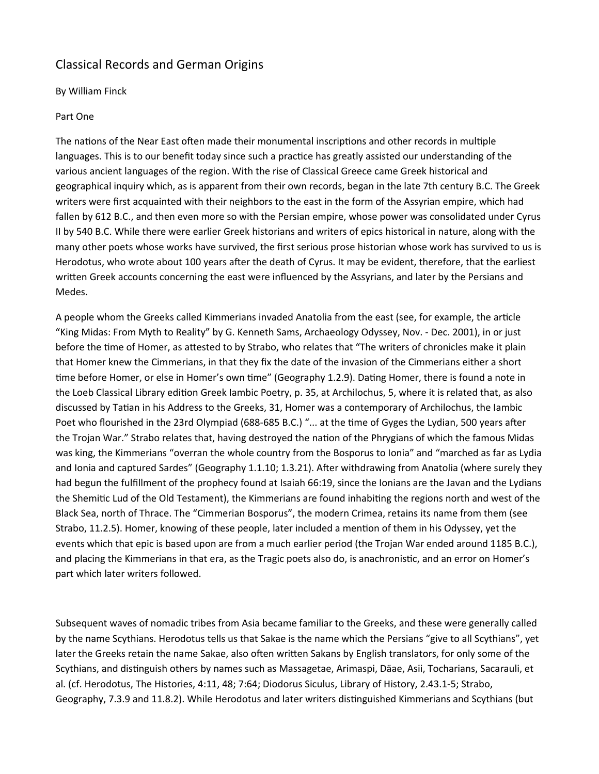# Classical Records and German Origins

# By William Finck

## Part One

The nations of the Near East often made their monumental inscriptions and other records in multiple languages. This is to our benefit today since such a practice has greatly assisted our understanding of the various ancient languages of the region. With the rise of Classical Greece came Greek historical and geographical inquiry which, as is apparent from their own records, began in the late 7th century B.C. The Greek writers were first acquainted with their neighbors to the east in the form of the Assyrian empire, which had fallen by 612 B.C., and then even more so with the Persian empire, whose power was consolidated under Cyrus II by 540 B.C. While there were earlier Greek historians and writers of epics historical in nature, along with the many other poets whose works have survived, the first serious prose historian whose work has survived to us is Herodotus, who wrote about 100 years after the death of Cyrus. It may be evident, therefore, that the earliest written Greek accounts concerning the east were influenced by the Assyrians, and later by the Persians and Medes.

A people whom the Greeks called Kimmerians invaded Anatolia from the east (see, for example, the article "King Midas: From Myth to Reality" by G. Kenneth Sams, Archaeology Odyssey, Nov. - Dec. 2001), in or just before the time of Homer, as attested to by Strabo, who relates that "The writers of chronicles make it plain that Homer knew the Cimmerians, in that they fix the date of the invasion of the Cimmerians either a short time before Homer, or else in Homer's own time" (Geography 1.2.9). Dating Homer, there is found a note in the Loeb Classical Library edition Greek Iambic Poetry, p. 35, at Archilochus, 5, where it is related that, as also discussed by Tatian in his Address to the Greeks, 31, Homer was a contemporary of Archilochus, the Iambic Poet who flourished in the 23rd Olympiad (688-685 B.C.) "... at the time of Gyges the Lydian, 500 years after the Trojan War." Strabo relates that, having destroyed the nation of the Phrygians of which the famous Midas was king, the Kimmerians "overran the whole country from the Bosporus to Ionia" and "marched as far as Lydia and Ionia and captured Sardes" (Geography 1.1.10; 1.3.21). After withdrawing from Anatolia (where surely they had begun the fulfillment of the prophecy found at Isaiah 66:19, since the Ionians are the Javan and the Lydians the Shemitic Lud of the Old Testament), the Kimmerians are found inhabiting the regions north and west of the Black Sea, north of Thrace. The "Cimmerian Bosporus", the modern Crimea, retains its name from them (see Strabo, 11.2.5). Homer, knowing of these people, later included a mention of them in his Odyssey, yet the events which that epic is based upon are from a much earlier period (the Trojan War ended around 1185 B.C.), and placing the Kimmerians in that era, as the Tragic poets also do, is anachronistic, and an error on Homer's part which later writers followed.

Subsequent waves of nomadic tribes from Asia became familiar to the Greeks, and these were generally called by the name Scythians. Herodotus tells us that Sakae is the name which the Persians "give to all Scythians", yet later the Greeks retain the name Sakae, also often written Sakans by English translators, for only some of the Scythians, and distinguish others by names such as Massagetae, Arimaspi, Däae, Asii, Tocharians, Sacarauli, et al. (cf. Herodotus, The Histories, 4:11, 48; 7:64; Diodorus Siculus, Library of History, 2.43.1-5; Strabo, Geography, 7.3.9 and 11.8.2). While Herodotus and later writers distinguished Kimmerians and Scythians (but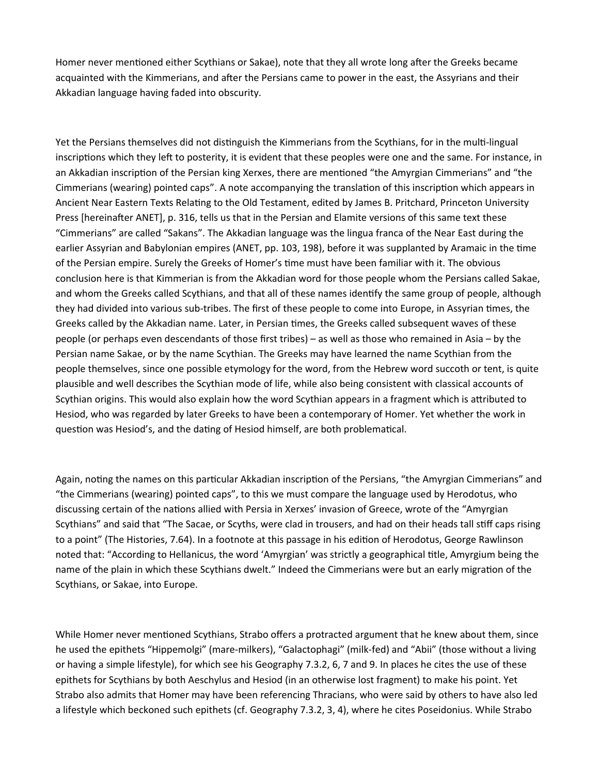Homer never mentioned either Scythians or Sakae), note that they all wrote long after the Greeks became acquainted with the Kimmerians, and after the Persians came to power in the east, the Assyrians and their Akkadian language having faded into obscurity.

Yet the Persians themselves did not distinguish the Kimmerians from the Scythians, for in the multi-lingual inscriptions which they left to posterity, it is evident that these peoples were one and the same. For instance, in an Akkadian inscription of the Persian king Xerxes, there are mentioned "the Amyrgian Cimmerians" and "the Cimmerians (wearing) pointed caps". A note accompanying the translation of this inscription which appears in Ancient Near Eastern Texts Relating to the Old Testament, edited by James B. Pritchard, Princeton University Press [hereinafter ANET], p. 316, tells us that in the Persian and Elamite versions of this same text these "Cimmerians" are called "Sakans". The Akkadian language was the lingua franca of the Near East during the earlier Assyrian and Babylonian empires (ANET, pp. 103, 198), before it was supplanted by Aramaic in the time of the Persian empire. Surely the Greeks of Homer's time must have been familiar with it. The obvious conclusion here is that Kimmerian is from the Akkadian word for those people whom the Persians called Sakae, and whom the Greeks called Scythians, and that all of these names identify the same group of people, although they had divided into various sub-tribes. The first of these people to come into Europe, in Assyrian times, the Greeks called by the Akkadian name. Later, in Persian times, the Greeks called subsequent waves of these people (or perhaps even descendants of those first tribes) – as well as those who remained in Asia – by the Persian name Sakae, or by the name Scythian. The Greeks may have learned the name Scythian from the people themselves, since one possible etymology for the word, from the Hebrew word succoth or tent, is quite plausible and well describes the Scythian mode of life, while also being consistent with classical accounts of Scythian origins. This would also explain how the word Scythian appears in a fragment which is attributed to Hesiod, who was regarded by later Greeks to have been a contemporary of Homer. Yet whether the work in question was Hesiod's, and the dating of Hesiod himself, are both problematical.

Again, noting the names on this particular Akkadian inscription of the Persians, "the Amyrgian Cimmerians" and "the Cimmerians (wearing) pointed caps", to this we must compare the language used by Herodotus, who discussing certain of the nations allied with Persia in Xerxes' invasion of Greece, wrote of the "Amyrgian Scythians" and said that "The Sacae, or Scyths, were clad in trousers, and had on their heads tall stiff caps rising to a point" (The Histories, 7.64). In a footnote at this passage in his edition of Herodotus, George Rawlinson noted that: "According to Hellanicus, the word 'Amyrgian' was strictly a geographical title, Amyrgium being the name of the plain in which these Scythians dwelt." Indeed the Cimmerians were but an early migration of the Scythians, or Sakae, into Europe.

While Homer never mentioned Scythians, Strabo offers a protracted argument that he knew about them, since he used the epithets "Hippemolgi" (mare-milkers), "Galactophagi" (milk-fed) and "Abii" (those without a living or having a simple lifestyle), for which see his Geography 7.3.2, 6, 7 and 9. In places he cites the use of these epithets for Scythians by both Aeschylus and Hesiod (in an otherwise lost fragment) to make his point. Yet Strabo also admits that Homer may have been referencing Thracians, who were said by others to have also led a lifestyle which beckoned such epithets (cf. Geography 7.3.2, 3, 4), where he cites Poseidonius. While Strabo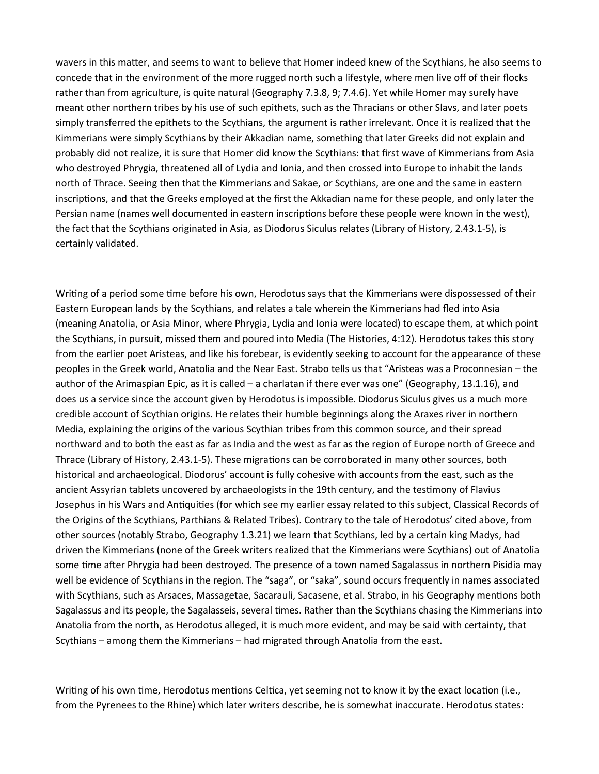wavers in this matter, and seems to want to believe that Homer indeed knew of the Scythians, he also seems to concede that in the environment of the more rugged north such a lifestyle, where men live off of their flocks rather than from agriculture, is quite natural (Geography 7.3.8, 9; 7.4.6). Yet while Homer may surely have meant other northern tribes by his use of such epithets, such as the Thracians or other Slavs, and later poets simply transferred the epithets to the Scythians, the argument is rather irrelevant. Once it is realized that the Kimmerians were simply Scythians by their Akkadian name, something that later Greeks did not explain and probably did not realize, it is sure that Homer did know the Scythians: that first wave of Kimmerians from Asia who destroyed Phrygia, threatened all of Lydia and Ionia, and then crossed into Europe to inhabit the lands north of Thrace. Seeing then that the Kimmerians and Sakae, or Scythians, are one and the same in eastern inscriptions, and that the Greeks employed at the first the Akkadian name for these people, and only later the Persian name (names well documented in eastern inscriptions before these people were known in the west), the fact that the Scythians originated in Asia, as Diodorus Siculus relates (Library of History, 2.43.1-5), is certainly validated.

Writing of a period some time before his own, Herodotus says that the Kimmerians were dispossessed of their Eastern European lands by the Scythians, and relates a tale wherein the Kimmerians had fled into Asia (meaning Anatolia, or Asia Minor, where Phrygia, Lydia and Ionia were located) to escape them, at which point the Scythians, in pursuit, missed them and poured into Media (The Histories, 4:12). Herodotus takes this story from the earlier poet Aristeas, and like his forebear, is evidently seeking to account for the appearance of these peoples in the Greek world, Anatolia and the Near East. Strabo tells us that "Aristeas was a Proconnesian – the author of the Arimaspian Epic, as it is called – a charlatan if there ever was one" (Geography, 13.1.16), and does us a service since the account given by Herodotus is impossible. Diodorus Siculus gives us a much more credible account of Scythian origins. He relates their humble beginnings along the Araxes river in northern Media, explaining the origins of the various Scythian tribes from this common source, and their spread northward and to both the east as far as India and the west as far as the region of Europe north of Greece and Thrace (Library of History, 2.43.1-5). These migrations can be corroborated in many other sources, both historical and archaeological. Diodorus' account is fully cohesive with accounts from the east, such as the ancient Assyrian tablets uncovered by archaeologists in the 19th century, and the testimony of Flavius Josephus in his Wars and Antiquities (for which see my earlier essay related to this subject, Classical Records of the Origins of the Scythians, Parthians & Related Tribes). Contrary to the tale of Herodotus' cited above, from other sources (notably Strabo, Geography 1.3.21) we learn that Scythians, led by a certain king Madys, had driven the Kimmerians (none of the Greek writers realized that the Kimmerians were Scythians) out of Anatolia some time after Phrygia had been destroyed. The presence of a town named Sagalassus in northern Pisidia may well be evidence of Scythians in the region. The "saga", or "saka", sound occurs frequently in names associated with Scythians, such as Arsaces, Massagetae, Sacarauli, Sacasene, et al. Strabo, in his Geography mentions both Sagalassus and its people, the Sagalasseis, several times. Rather than the Scythians chasing the Kimmerians into Anatolia from the north, as Herodotus alleged, it is much more evident, and may be said with certainty, that Scythians – among them the Kimmerians – had migrated through Anatolia from the east.

Writing of his own time, Herodotus mentions Celtica, yet seeming not to know it by the exact location (i.e., from the Pyrenees to the Rhine) which later writers describe, he is somewhat inaccurate. Herodotus states: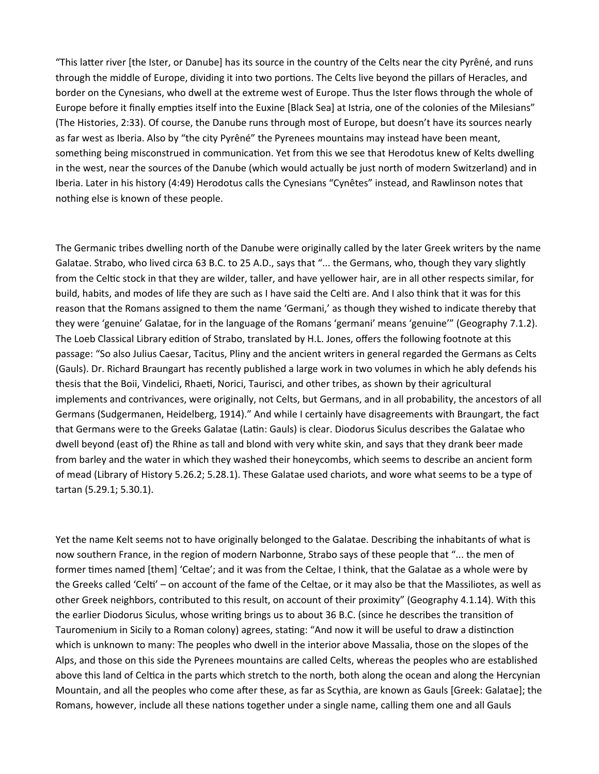"This latter river [the Ister, or Danube] has its source in the country of the Celts near the city Pyrêné, and runs through the middle of Europe, dividing it into two portions. The Celts live beyond the pillars of Heracles, and border on the Cynesians, who dwell at the extreme west of Europe. Thus the Ister flows through the whole of Europe before it finally empties itself into the Euxine [Black Sea] at Istria, one of the colonies of the Milesians" (The Histories, 2:33). Of course, the Danube runs through most of Europe, but doesn't have its sources nearly as far west as Iberia. Also by "the city Pyrêné" the Pyrenees mountains may instead have been meant, something being misconstrued in communication. Yet from this we see that Herodotus knew of Kelts dwelling in the west, near the sources of the Danube (which would actually be just north of modern Switzerland) and in Iberia. Later in his history (4:49) Herodotus calls the Cynesians "Cynêtes" instead, and Rawlinson notes that nothing else is known of these people.

The Germanic tribes dwelling north of the Danube were originally called by the later Greek writers by the name Galatae. Strabo, who lived circa 63 B.C. to 25 A.D., says that "... the Germans, who, though they vary slightly from the Celtic stock in that they are wilder, taller, and have yellower hair, are in all other respects similar, for build, habits, and modes of life they are such as I have said the Celti are. And I also think that it was for this reason that the Romans assigned to them the name 'Germani,' as though they wished to indicate thereby that they were 'genuine' Galatae, for in the language of the Romans 'germani' means 'genuine'" (Geography 7.1.2). The Loeb Classical Library edition of Strabo, translated by H.L. Jones, offers the following footnote at this passage: "So also Julius Caesar, Tacitus, Pliny and the ancient writers in general regarded the Germans as Celts (Gauls). Dr. Richard Braungart has recently published a large work in two volumes in which he ably defends his thesis that the Boii, Vindelici, Rhaeti, Norici, Taurisci, and other tribes, as shown by their agricultural implements and contrivances, were originally, not Celts, but Germans, and in all probability, the ancestors of all Germans (Sudgermanen, Heidelberg, 1914)." And while I certainly have disagreements with Braungart, the fact that Germans were to the Greeks Galatae (Latin: Gauls) is clear. Diodorus Siculus describes the Galatae who dwell beyond (east of) the Rhine as tall and blond with very white skin, and says that they drank beer made from barley and the water in which they washed their honeycombs, which seems to describe an ancient form of mead (Library of History 5.26.2; 5.28.1). These Galatae used chariots, and wore what seems to be a type of tartan (5.29.1; 5.30.1).

Yet the name Kelt seems not to have originally belonged to the Galatae. Describing the inhabitants of what is now southern France, in the region of modern Narbonne, Strabo says of these people that "... the men of former times named [them] 'Celtae'; and it was from the Celtae, I think, that the Galatae as a whole were by the Greeks called 'Celti' – on account of the fame of the Celtae, or it may also be that the Massiliotes, as well as other Greek neighbors, contributed to this result, on account of their proximity" (Geography 4.1.14). With this the earlier Diodorus Siculus, whose writing brings us to about 36 B.C. (since he describes the transition of Tauromenium in Sicily to a Roman colony) agrees, stating: "And now it will be useful to draw a distinction which is unknown to many: The peoples who dwell in the interior above Massalia, those on the slopes of the Alps, and those on this side the Pyrenees mountains are called Celts, whereas the peoples who are established above this land of Celtica in the parts which stretch to the north, both along the ocean and along the Hercynian Mountain, and all the peoples who come after these, as far as Scythia, are known as Gauls [Greek: Galatae]; the Romans, however, include all these nations together under a single name, calling them one and all Gauls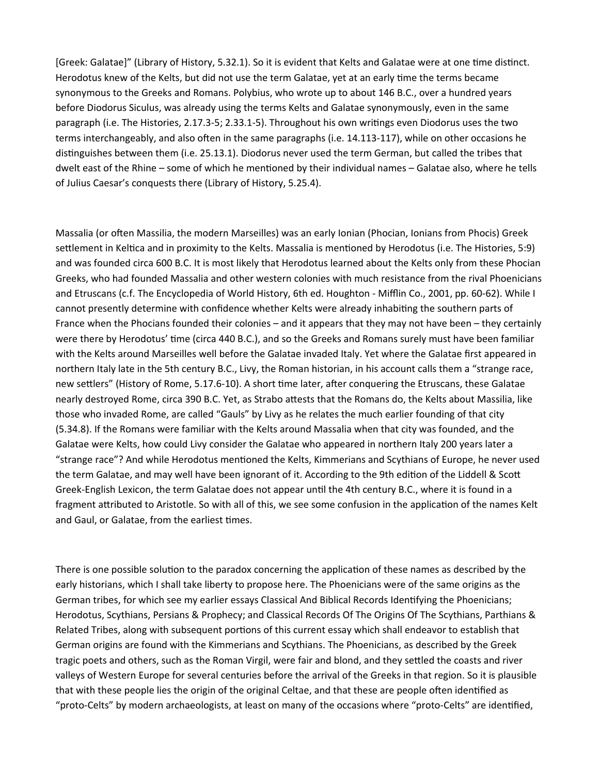[Greek: Galatae]" (Library of History, 5.32.1). So it is evident that Kelts and Galatae were at one time distinct. Herodotus knew of the Kelts, but did not use the term Galatae, yet at an early time the terms became synonymous to the Greeks and Romans. Polybius, who wrote up to about 146 B.C., over a hundred years before Diodorus Siculus, was already using the terms Kelts and Galatae synonymously, even in the same paragraph (i.e. The Histories, 2.17.3-5; 2.33.1-5). Throughout his own writings even Diodorus uses the two terms interchangeably, and also often in the same paragraphs (i.e. 14.113-117), while on other occasions he distinguishes between them (i.e. 25.13.1). Diodorus never used the term German, but called the tribes that dwelt east of the Rhine – some of which he mentioned by their individual names – Galatae also, where he tells of Julius Caesar's conquests there (Library of History, 5.25.4).

Massalia (or often Massilia, the modern Marseilles) was an early Ionian (Phocian, Ionians from Phocis) Greek settlement in Keltica and in proximity to the Kelts. Massalia is mentioned by Herodotus (i.e. The Histories, 5:9) and was founded circa 600 B.C. It is most likely that Herodotus learned about the Kelts only from these Phocian Greeks, who had founded Massalia and other western colonies with much resistance from the rival Phoenicians and Etruscans (c.f. The Encyclopedia of World History, 6th ed. Houghton - Mifflin Co., 2001, pp. 60-62). While I cannot presently determine with confidence whether Kelts were already inhabiting the southern parts of France when the Phocians founded their colonies – and it appears that they may not have been – they certainly were there by Herodotus' time (circa 440 B.C.), and so the Greeks and Romans surely must have been familiar with the Kelts around Marseilles well before the Galatae invaded Italy. Yet where the Galatae first appeared in northern Italy late in the 5th century B.C., Livy, the Roman historian, in his account calls them a "strange race, new settlers" (History of Rome, 5.17.6-10). A short time later, after conquering the Etruscans, these Galatae nearly destroyed Rome, circa 390 B.C. Yet, as Strabo attests that the Romans do, the Kelts about Massilia, like those who invaded Rome, are called "Gauls" by Livy as he relates the much earlier founding of that city (5.34.8). If the Romans were familiar with the Kelts around Massalia when that city was founded, and the Galatae were Kelts, how could Livy consider the Galatae who appeared in northern Italy 200 years later a "strange race"? And while Herodotus mentioned the Kelts, Kimmerians and Scythians of Europe, he never used the term Galatae, and may well have been ignorant of it. According to the 9th edition of the Liddell & Scott Greek-English Lexicon, the term Galatae does not appear until the 4th century B.C., where it is found in a fragment attributed to Aristotle. So with all of this, we see some confusion in the application of the names Kelt and Gaul, or Galatae, from the earliest times.

There is one possible solution to the paradox concerning the application of these names as described by the early historians, which I shall take liberty to propose here. The Phoenicians were of the same origins as the German tribes, for which see my earlier essays Classical And Biblical Records Identifying the Phoenicians; Herodotus, Scythians, Persians & Prophecy; and Classical Records Of The Origins Of The Scythians, Parthians & Related Tribes, along with subsequent portions of this current essay which shall endeavor to establish that German origins are found with the Kimmerians and Scythians. The Phoenicians, as described by the Greek tragic poets and others, such as the Roman Virgil, were fair and blond, and they settled the coasts and river valleys of Western Europe for several centuries before the arrival of the Greeks in that region. So it is plausible that with these people lies the origin of the original Celtae, and that these are people often identified as "proto-Celts" by modern archaeologists, at least on many of the occasions where "proto-Celts" are identified,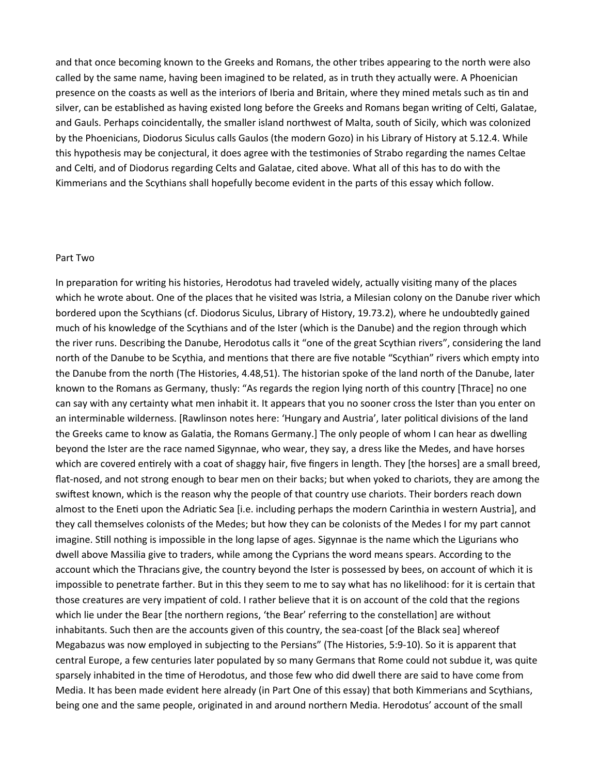and that once becoming known to the Greeks and Romans, the other tribes appearing to the north were also called by the same name, having been imagined to be related, as in truth they actually were. A Phoenician presence on the coasts as well as the interiors of Iberia and Britain, where they mined metals such as tin and silver, can be established as having existed long before the Greeks and Romans began writing of Celti, Galatae, and Gauls. Perhaps coincidentally, the smaller island northwest of Malta, south of Sicily, which was colonized by the Phoenicians, Diodorus Siculus calls Gaulos (the modern Gozo) in his Library of History at 5.12.4. While this hypothesis may be conjectural, it does agree with the testimonies of Strabo regarding the names Celtae and Celti, and of Diodorus regarding Celts and Galatae, cited above. What all of this has to do with the Kimmerians and the Scythians shall hopefully become evident in the parts of this essay which follow.

## Part Two

In preparation for writing his histories, Herodotus had traveled widely, actually visiting many of the places which he wrote about. One of the places that he visited was Istria, a Milesian colony on the Danube river which bordered upon the Scythians (cf. Diodorus Siculus, Library of History, 19.73.2), where he undoubtedly gained much of his knowledge of the Scythians and of the Ister (which is the Danube) and the region through which the river runs. Describing the Danube, Herodotus calls it "one of the great Scythian rivers", considering the land north of the Danube to be Scythia, and mentions that there are five notable "Scythian" rivers which empty into the Danube from the north (The Histories, 4.48,51). The historian spoke of the land north of the Danube, later known to the Romans as Germany, thusly: "As regards the region lying north of this country [Thrace] no one can say with any certainty what men inhabit it. It appears that you no sooner cross the Ister than you enter on an interminable wilderness. [Rawlinson notes here: 'Hungary and Austria', later political divisions of the land the Greeks came to know as Galatia, the Romans Germany.] The only people of whom I can hear as dwelling beyond the Ister are the race named Sigynnae, who wear, they say, a dress like the Medes, and have horses which are covered entirely with a coat of shaggy hair, five fingers in length. They [the horses] are a small breed, flat-nosed, and not strong enough to bear men on their backs; but when yoked to chariots, they are among the swiftest known, which is the reason why the people of that country use chariots. Their borders reach down almost to the Eneti upon the Adriatic Sea [i.e. including perhaps the modern Carinthia in western Austria], and they call themselves colonists of the Medes; but how they can be colonists of the Medes I for my part cannot imagine. Still nothing is impossible in the long lapse of ages. Sigynnae is the name which the Ligurians who dwell above Massilia give to traders, while among the Cyprians the word means spears. According to the account which the Thracians give, the country beyond the Ister is possessed by bees, on account of which it is impossible to penetrate farther. But in this they seem to me to say what has no likelihood: for it is certain that those creatures are very impatient of cold. I rather believe that it is on account of the cold that the regions which lie under the Bear [the northern regions, 'the Bear' referring to the constellation] are without inhabitants. Such then are the accounts given of this country, the sea-coast [of the Black sea] whereof Megabazus was now employed in subjecting to the Persians" (The Histories, 5:9-10). So it is apparent that central Europe, a few centuries later populated by so many Germans that Rome could not subdue it, was quite sparsely inhabited in the time of Herodotus, and those few who did dwell there are said to have come from Media. It has been made evident here already (in Part One of this essay) that both Kimmerians and Scythians, being one and the same people, originated in and around northern Media. Herodotus' account of the small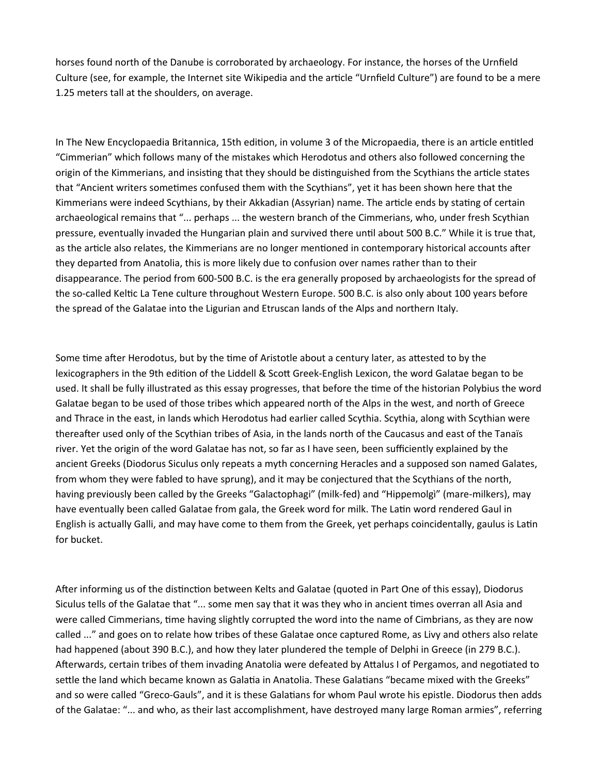horses found north of the Danube is corroborated by archaeology. For instance, the horses of the Urnfield Culture (see, for example, the Internet site Wikipedia and the article "Urnfield Culture") are found to be a mere 1.25 meters tall at the shoulders, on average.

In The New Encyclopaedia Britannica, 15th edition, in volume 3 of the Micropaedia, there is an article entitled "Cimmerian" which follows many of the mistakes which Herodotus and others also followed concerning the origin of the Kimmerians, and insisting that they should be distinguished from the Scythians the article states that "Ancient writers sometimes confused them with the Scythians", yet it has been shown here that the Kimmerians were indeed Scythians, by their Akkadian (Assyrian) name. The article ends by stating of certain archaeological remains that "... perhaps ... the western branch of the Cimmerians, who, under fresh Scythian pressure, eventually invaded the Hungarian plain and survived there until about 500 B.C." While it is true that, as the article also relates, the Kimmerians are no longer mentioned in contemporary historical accounts after they departed from Anatolia, this is more likely due to confusion over names rather than to their disappearance. The period from 600-500 B.C. is the era generally proposed by archaeologists for the spread of the so-called Keltic La Tene culture throughout Western Europe. 500 B.C. is also only about 100 years before the spread of the Galatae into the Ligurian and Etruscan lands of the Alps and northern Italy.

Some time after Herodotus, but by the time of Aristotle about a century later, as attested to by the lexicographers in the 9th edition of the Liddell & Scott Greek-English Lexicon, the word Galatae began to be used. It shall be fully illustrated as this essay progresses, that before the time of the historian Polybius the word Galatae began to be used of those tribes which appeared north of the Alps in the west, and north of Greece and Thrace in the east, in lands which Herodotus had earlier called Scythia. Scythia, along with Scythian were thereafter used only of the Scythian tribes of Asia, in the lands north of the Caucasus and east of the Tanaïs river. Yet the origin of the word Galatae has not, so far as I have seen, been sufficiently explained by the ancient Greeks (Diodorus Siculus only repeats a myth concerning Heracles and a supposed son named Galates, from whom they were fabled to have sprung), and it may be conjectured that the Scythians of the north, having previously been called by the Greeks "Galactophagi" (milk-fed) and "Hippemolgì" (mare-milkers), may have eventually been called Galatae from gala, the Greek word for milk. The Latin word rendered Gaul in English is actually Galli, and may have come to them from the Greek, yet perhaps coincidentally, gaulus is Latin for bucket.

After informing us of the distinction between Kelts and Galatae (quoted in Part One of this essay), Diodorus Siculus tells of the Galatae that "... some men say that it was they who in ancient times overran all Asia and were called Cimmerians, time having slightly corrupted the word into the name of Cimbrians, as they are now called ..." and goes on to relate how tribes of these Galatae once captured Rome, as Livy and others also relate had happened (about 390 B.C.), and how they later plundered the temple of Delphi in Greece (in 279 B.C.). Afterwards, certain tribes of them invading Anatolia were defeated by Attalus I of Pergamos, and negotiated to settle the land which became known as Galatia in Anatolia. These Galatians "became mixed with the Greeks" and so were called "Greco-Gauls", and it is these Galatians for whom Paul wrote his epistle. Diodorus then adds of the Galatae: "... and who, as their last accomplishment, have destroyed many large Roman armies", referring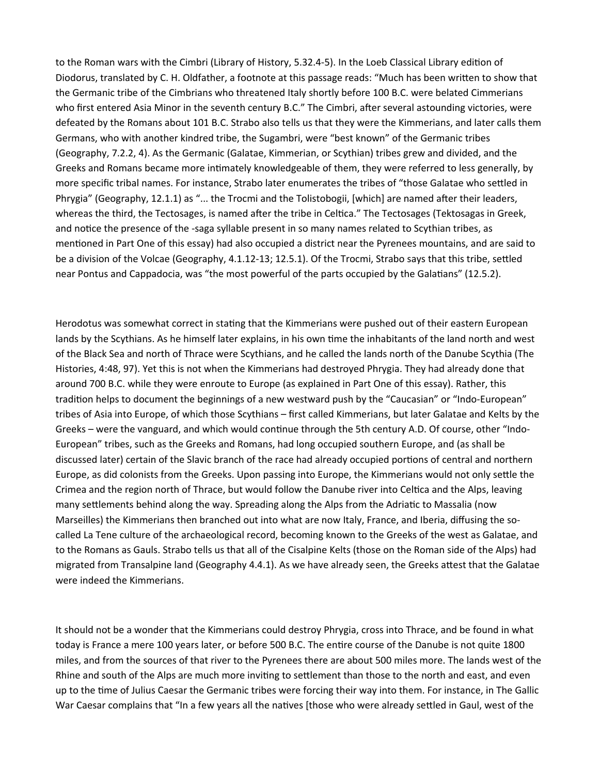to the Roman wars with the Cimbri (Library of History, 5.32.4-5). In the Loeb Classical Library edition of Diodorus, translated by C. H. Oldfather, a footnote at this passage reads: "Much has been written to show that the Germanic tribe of the Cimbrians who threatened Italy shortly before 100 B.C. were belated Cimmerians who first entered Asia Minor in the seventh century B.C." The Cimbri, after several astounding victories, were defeated by the Romans about 101 B.C. Strabo also tells us that they were the Kimmerians, and later calls them Germans, who with another kindred tribe, the Sugambri, were "best known" of the Germanic tribes (Geography, 7.2.2, 4). As the Germanic (Galatae, Kimmerian, or Scythian) tribes grew and divided, and the Greeks and Romans became more intimately knowledgeable of them, they were referred to less generally, by more specific tribal names. For instance, Strabo later enumerates the tribes of "those Galatae who settled in Phrygia" (Geography, 12.1.1) as "... the Trocmi and the Tolistobogii, [which] are named after their leaders, whereas the third, the Tectosages, is named after the tribe in Celtica." The Tectosages (Tektosagas in Greek, and notice the presence of the -saga syllable present in so many names related to Scythian tribes, as mentioned in Part One of this essay) had also occupied a district near the Pyrenees mountains, and are said to be a division of the Volcae (Geography, 4.1.12-13; 12.5.1). Of the Trocmi, Strabo says that this tribe, settled near Pontus and Cappadocia, was "the most powerful of the parts occupied by the Galatians" (12.5.2).

Herodotus was somewhat correct in stating that the Kimmerians were pushed out of their eastern European lands by the Scythians. As he himself later explains, in his own time the inhabitants of the land north and west of the Black Sea and north of Thrace were Scythians, and he called the lands north of the Danube Scythia (The Histories, 4:48, 97). Yet this is not when the Kimmerians had destroyed Phrygia. They had already done that around 700 B.C. while they were enroute to Europe (as explained in Part One of this essay). Rather, this tradition helps to document the beginnings of a new westward push by the "Caucasian" or "Indo-European" tribes of Asia into Europe, of which those Scythians – first called Kimmerians, but later Galatae and Kelts by the Greeks – were the vanguard, and which would continue through the 5th century A.D. Of course, other "Indo-European" tribes, such as the Greeks and Romans, had long occupied southern Europe, and (as shall be discussed later) certain of the Slavic branch of the race had already occupied portions of central and northern Europe, as did colonists from the Greeks. Upon passing into Europe, the Kimmerians would not only settle the Crimea and the region north of Thrace, but would follow the Danube river into Celtica and the Alps, leaving many settlements behind along the way. Spreading along the Alps from the Adriatic to Massalia (now Marseilles) the Kimmerians then branched out into what are now Italy, France, and Iberia, diffusing the socalled La Tene culture of the archaeological record, becoming known to the Greeks of the west as Galatae, and to the Romans as Gauls. Strabo tells us that all of the Cisalpine Kelts (those on the Roman side of the Alps) had migrated from Transalpine land (Geography 4.4.1). As we have already seen, the Greeks attest that the Galatae were indeed the Kimmerians.

It should not be a wonder that the Kimmerians could destroy Phrygia, cross into Thrace, and be found in what today is France a mere 100 years later, or before 500 B.C. The entire course of the Danube is not quite 1800 miles, and from the sources of that river to the Pyrenees there are about 500 miles more. The lands west of the Rhine and south of the Alps are much more inviting to settlement than those to the north and east, and even up to the time of Julius Caesar the Germanic tribes were forcing their way into them. For instance, in The Gallic War Caesar complains that "In a few years all the natives [those who were already settled in Gaul, west of the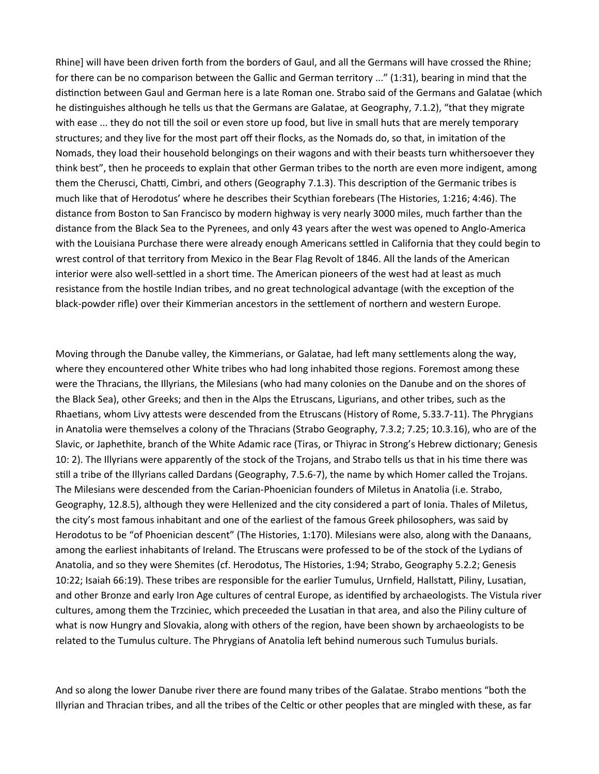Rhine] will have been driven forth from the borders of Gaul, and all the Germans will have crossed the Rhine; for there can be no comparison between the Gallic and German territory ..." (1:31), bearing in mind that the distinction between Gaul and German here is a late Roman one. Strabo said of the Germans and Galatae (which he distinguishes although he tells us that the Germans are Galatae, at Geography, 7.1.2), "that they migrate with ease ... they do not till the soil or even store up food, but live in small huts that are merely temporary structures; and they live for the most part off their flocks, as the Nomads do, so that, in imitation of the Nomads, they load their household belongings on their wagons and with their beasts turn whithersoever they think best", then he proceeds to explain that other German tribes to the north are even more indigent, among them the Cherusci, Chatti, Cimbri, and others (Geography 7.1.3). This description of the Germanic tribes is much like that of Herodotus' where he describes their Scythian forebears (The Histories, 1:216; 4:46). The distance from Boston to San Francisco by modern highway is very nearly 3000 miles, much farther than the distance from the Black Sea to the Pyrenees, and only 43 years after the west was opened to Anglo-America with the Louisiana Purchase there were already enough Americans settled in California that they could begin to wrest control of that territory from Mexico in the Bear Flag Revolt of 1846. All the lands of the American interior were also well-settled in a short time. The American pioneers of the west had at least as much resistance from the hostile Indian tribes, and no great technological advantage (with the exception of the black-powder rifle) over their Kimmerian ancestors in the settlement of northern and western Europe.

Moving through the Danube valley, the Kimmerians, or Galatae, had left many settlements along the way, where they encountered other White tribes who had long inhabited those regions. Foremost among these were the Thracians, the Illyrians, the Milesians (who had many colonies on the Danube and on the shores of the Black Sea), other Greeks; and then in the Alps the Etruscans, Ligurians, and other tribes, such as the Rhaetians, whom Livy attests were descended from the Etruscans (History of Rome, 5.33.7-11). The Phrygians in Anatolia were themselves a colony of the Thracians (Strabo Geography, 7.3.2; 7.25; 10.3.16), who are of the Slavic, or Japhethite, branch of the White Adamic race (Tiras, or Thiyrac in Strong's Hebrew dictionary; Genesis 10: 2). The Illyrians were apparently of the stock of the Trojans, and Strabo tells us that in his time there was still a tribe of the Illyrians called Dardans (Geography, 7.5.6-7), the name by which Homer called the Trojans. The Milesians were descended from the Carian-Phoenician founders of Miletus in Anatolia (i.e. Strabo, Geography, 12.8.5), although they were Hellenized and the city considered a part of Ionia. Thales of Miletus, the city's most famous inhabitant and one of the earliest of the famous Greek philosophers, was said by Herodotus to be "of Phoenician descent" (The Histories, 1:170). Milesians were also, along with the Danaans, among the earliest inhabitants of Ireland. The Etruscans were professed to be of the stock of the Lydians of Anatolia, and so they were Shemites (cf. Herodotus, The Histories, 1:94; Strabo, Geography 5.2.2; Genesis 10:22; Isaiah 66:19). These tribes are responsible for the earlier Tumulus, Urnfield, Hallstatt, Piliny, Lusatian, and other Bronze and early Iron Age cultures of central Europe, as identified by archaeologists. The Vistula river cultures, among them the Trzciniec, which preceeded the Lusatian in that area, and also the Piliny culture of what is now Hungry and Slovakia, along with others of the region, have been shown by archaeologists to be related to the Tumulus culture. The Phrygians of Anatolia left behind numerous such Tumulus burials.

And so along the lower Danube river there are found many tribes of the Galatae. Strabo mentions "both the Illyrian and Thracian tribes, and all the tribes of the Celtic or other peoples that are mingled with these, as far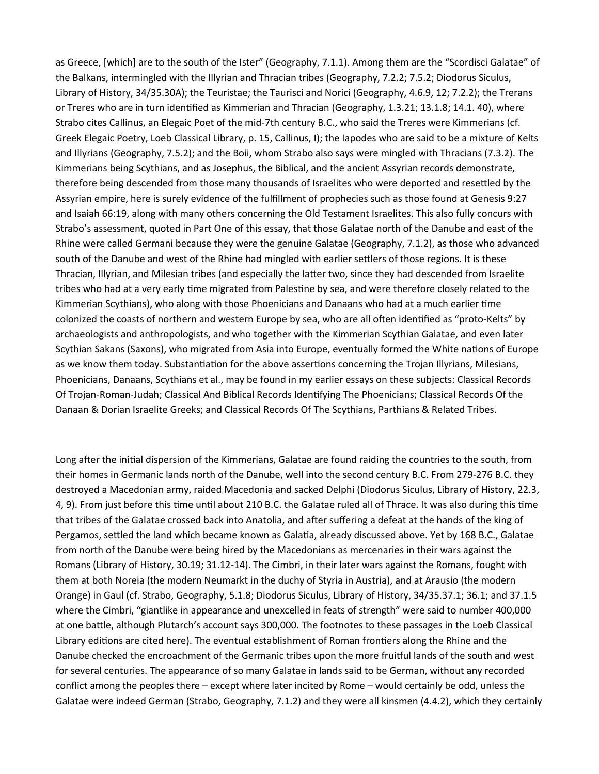as Greece, [which] are to the south of the Ister" (Geography, 7.1.1). Among them are the "Scordisci Galatae" of the Balkans, intermingled with the Illyrian and Thracian tribes (Geography, 7.2.2; 7.5.2; Diodorus Siculus, Library of History, 34/35.30A); the Teuristae; the Taurisci and Norici (Geography, 4.6.9, 12; 7.2.2); the Trerans or Treres who are in turn identified as Kimmerian and Thracian (Geography, 1.3.21; 13.1.8; 14.1. 40), where Strabo cites Callinus, an Elegaic Poet of the mid-7th century B.C., who said the Treres were Kimmerians (cf. Greek Elegaic Poetry, Loeb Classical Library, p. 15, Callinus, I); the Iapodes who are said to be a mixture of Kelts and Illyrians (Geography, 7.5.2); and the Boii, whom Strabo also says were mingled with Thracians (7.3.2). The Kimmerians being Scythians, and as Josephus, the Biblical, and the ancient Assyrian records demonstrate, therefore being descended from those many thousands of Israelites who were deported and resettled by the Assyrian empire, here is surely evidence of the fulfillment of prophecies such as those found at Genesis 9:27 and Isaiah 66:19, along with many others concerning the Old Testament Israelites. This also fully concurs with Strabo's assessment, quoted in Part One of this essay, that those Galatae north of the Danube and east of the Rhine were called Germani because they were the genuine Galatae (Geography, 7.1.2), as those who advanced south of the Danube and west of the Rhine had mingled with earlier settlers of those regions. It is these Thracian, Illyrian, and Milesian tribes (and especially the latter two, since they had descended from Israelite tribes who had at a very early time migrated from Palestine by sea, and were therefore closely related to the Kimmerian Scythians), who along with those Phoenicians and Danaans who had at a much earlier time colonized the coasts of northern and western Europe by sea, who are all often identified as "proto-Kelts" by archaeologists and anthropologists, and who together with the Kimmerian Scythian Galatae, and even later Scythian Sakans (Saxons), who migrated from Asia into Europe, eventually formed the White nations of Europe as we know them today. Substantiation for the above assertions concerning the Trojan Illyrians, Milesians, Phoenicians, Danaans, Scythians et al., may be found in my earlier essays on these subjects: Classical Records Of Trojan-Roman-Judah; Classical And Biblical Records Identifying The Phoenicians; Classical Records Of the Danaan & Dorian Israelite Greeks; and Classical Records Of The Scythians, Parthians & Related Tribes.

Long after the initial dispersion of the Kimmerians, Galatae are found raiding the countries to the south, from their homes in Germanic lands north of the Danube, well into the second century B.C. From 279-276 B.C. they destroyed a Macedonian army, raided Macedonia and sacked Delphi (Diodorus Siculus, Library of History, 22.3, 4, 9). From just before this time until about 210 B.C. the Galatae ruled all of Thrace. It was also during this time that tribes of the Galatae crossed back into Anatolia, and after suffering a defeat at the hands of the king of Pergamos, settled the land which became known as Galatia, already discussed above. Yet by 168 B.C., Galatae from north of the Danube were being hired by the Macedonians as mercenaries in their wars against the Romans (Library of History, 30.19; 31.12-14). The Cimbri, in their later wars against the Romans, fought with them at both Noreia (the modern Neumarkt in the duchy of Styria in Austria), and at Arausio (the modern Orange) in Gaul (cf. Strabo, Geography, 5.1.8; Diodorus Siculus, Library of History, 34/35.37.1; 36.1; and 37.1.5 where the Cimbri, "giantlike in appearance and unexcelled in feats of strength" were said to number 400,000 at one battle, although Plutarch's account says 300,000. The footnotes to these passages in the Loeb Classical Library editions are cited here). The eventual establishment of Roman frontiers along the Rhine and the Danube checked the encroachment of the Germanic tribes upon the more fruitful lands of the south and west for several centuries. The appearance of so many Galatae in lands said to be German, without any recorded conflict among the peoples there – except where later incited by Rome – would certainly be odd, unless the Galatae were indeed German (Strabo, Geography, 7.1.2) and they were all kinsmen (4.4.2), which they certainly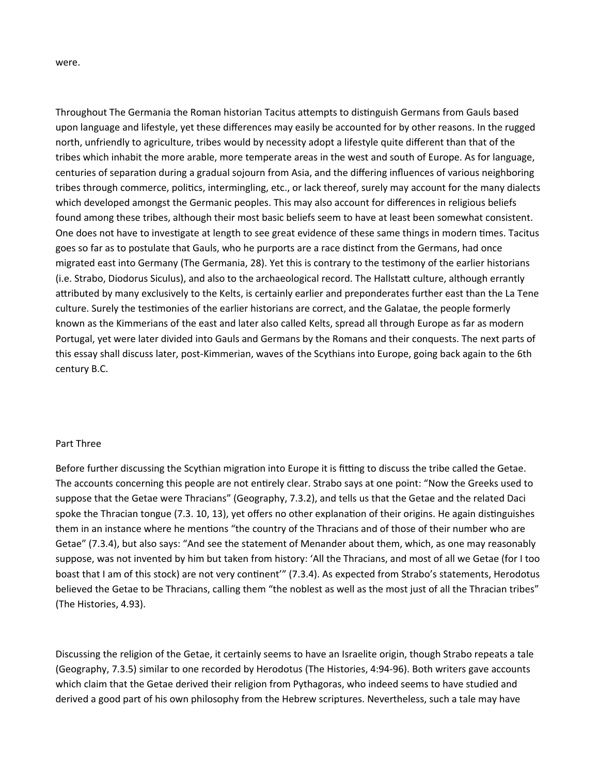were.

Throughout The Germania the Roman historian Tacitus attempts to distinguish Germans from Gauls based upon language and lifestyle, yet these differences may easily be accounted for by other reasons. In the rugged north, unfriendly to agriculture, tribes would by necessity adopt a lifestyle quite different than that of the tribes which inhabit the more arable, more temperate areas in the west and south of Europe. As for language, centuries of separation during a gradual sojourn from Asia, and the differing influences of various neighboring tribes through commerce, politics, intermingling, etc., or lack thereof, surely may account for the many dialects which developed amongst the Germanic peoples. This may also account for differences in religious beliefs found among these tribes, although their most basic beliefs seem to have at least been somewhat consistent. One does not have to investigate at length to see great evidence of these same things in modern times. Tacitus goes so far as to postulate that Gauls, who he purports are a race distinct from the Germans, had once migrated east into Germany (The Germania, 28). Yet this is contrary to the testimony of the earlier historians (i.e. Strabo, Diodorus Siculus), and also to the archaeological record. The Hallstatt culture, although errantly attributed by many exclusively to the Kelts, is certainly earlier and preponderates further east than the La Tene culture. Surely the testimonies of the earlier historians are correct, and the Galatae, the people formerly known as the Kimmerians of the east and later also called Kelts, spread all through Europe as far as modern Portugal, yet were later divided into Gauls and Germans by the Romans and their conquests. The next parts of this essay shall discuss later, post-Kimmerian, waves of the Scythians into Europe, going back again to the 6th century B.C.

#### Part Three

Before further discussing the Scythian migration into Europe it is fitting to discuss the tribe called the Getae. The accounts concerning this people are not entirely clear. Strabo says at one point: "Now the Greeks used to suppose that the Getae were Thracians" (Geography, 7.3.2), and tells us that the Getae and the related Daci spoke the Thracian tongue (7.3. 10, 13), yet offers no other explanation of their origins. He again distinguishes them in an instance where he mentions "the country of the Thracians and of those of their number who are Getae" (7.3.4), but also says: "And see the statement of Menander about them, which, as one may reasonably suppose, was not invented by him but taken from history: 'All the Thracians, and most of all we Getae (for I too boast that I am of this stock) are not very continent'" (7.3.4). As expected from Strabo's statements, Herodotus believed the Getae to be Thracians, calling them "the noblest as well as the most just of all the Thracian tribes" (The Histories, 4.93).

Discussing the religion of the Getae, it certainly seems to have an Israelite origin, though Strabo repeats a tale (Geography, 7.3.5) similar to one recorded by Herodotus (The Histories, 4:94-96). Both writers gave accounts which claim that the Getae derived their religion from Pythagoras, who indeed seems to have studied and derived a good part of his own philosophy from the Hebrew scriptures. Nevertheless, such a tale may have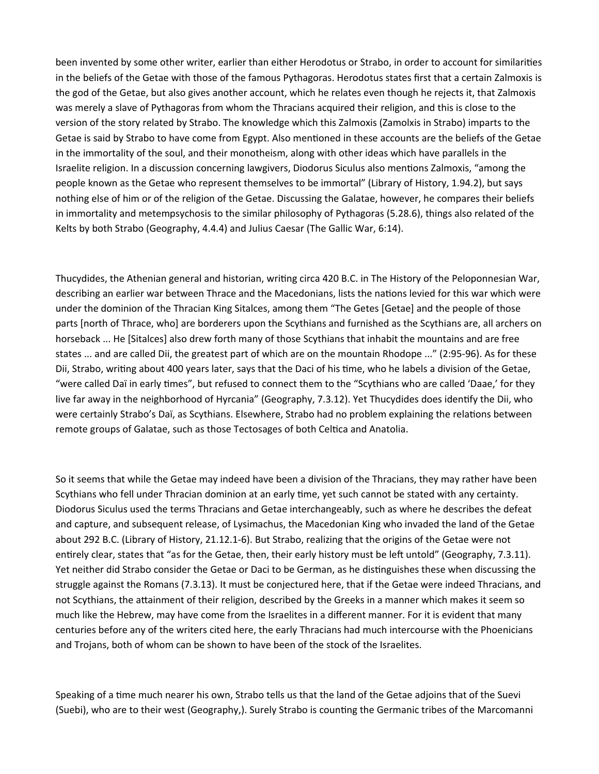been invented by some other writer, earlier than either Herodotus or Strabo, in order to account for similarities in the beliefs of the Getae with those of the famous Pythagoras. Herodotus states first that a certain Zalmoxis is the god of the Getae, but also gives another account, which he relates even though he rejects it, that Zalmoxis was merely a slave of Pythagoras from whom the Thracians acquired their religion, and this is close to the version of the story related by Strabo. The knowledge which this Zalmoxis (Zamolxis in Strabo) imparts to the Getae is said by Strabo to have come from Egypt. Also mentioned in these accounts are the beliefs of the Getae in the immortality of the soul, and their monotheism, along with other ideas which have parallels in the Israelite religion. In a discussion concerning lawgivers, Diodorus Siculus also mentions Zalmoxis, "among the people known as the Getae who represent themselves to be immortal" (Library of History, 1.94.2), but says nothing else of him or of the religion of the Getae. Discussing the Galatae, however, he compares their beliefs in immortality and metempsychosis to the similar philosophy of Pythagoras (5.28.6), things also related of the Kelts by both Strabo (Geography, 4.4.4) and Julius Caesar (The Gallic War, 6:14).

Thucydides, the Athenian general and historian, writing circa 420 B.C. in The History of the Peloponnesian War, describing an earlier war between Thrace and the Macedonians, lists the nations levied for this war which were under the dominion of the Thracian King Sitalces, among them "The Getes [Getae] and the people of those parts [north of Thrace, who] are borderers upon the Scythians and furnished as the Scythians are, all archers on horseback ... He [Sitalces] also drew forth many of those Scythians that inhabit the mountains and are free states ... and are called Dii, the greatest part of which are on the mountain Rhodope ..." (2:95-96). As for these Dii, Strabo, writing about 400 years later, says that the Daci of his time, who he labels a division of the Getae, "were called Daï in early times", but refused to connect them to the "Scythians who are called 'Daae,' for they live far away in the neighborhood of Hyrcania" (Geography, 7.3.12). Yet Thucydides does identify the Dii, who were certainly Strabo's Daï, as Scythians. Elsewhere, Strabo had no problem explaining the relations between remote groups of Galatae, such as those Tectosages of both Celtica and Anatolia.

So it seems that while the Getae may indeed have been a division of the Thracians, they may rather have been Scythians who fell under Thracian dominion at an early time, yet such cannot be stated with any certainty. Diodorus Siculus used the terms Thracians and Getae interchangeably, such as where he describes the defeat and capture, and subsequent release, of Lysimachus, the Macedonian King who invaded the land of the Getae about 292 B.C. (Library of History, 21.12.1-6). But Strabo, realizing that the origins of the Getae were not entirely clear, states that "as for the Getae, then, their early history must be left untold" (Geography, 7.3.11). Yet neither did Strabo consider the Getae or Daci to be German, as he distinguishes these when discussing the struggle against the Romans (7.3.13). It must be conjectured here, that if the Getae were indeed Thracians, and not Scythians, the attainment of their religion, described by the Greeks in a manner which makes it seem so much like the Hebrew, may have come from the Israelites in a different manner. For it is evident that many centuries before any of the writers cited here, the early Thracians had much intercourse with the Phoenicians and Trojans, both of whom can be shown to have been of the stock of the Israelites.

Speaking of a time much nearer his own, Strabo tells us that the land of the Getae adjoins that of the Suevi (Suebi), who are to their west (Geography,). Surely Strabo is counting the Germanic tribes of the Marcomanni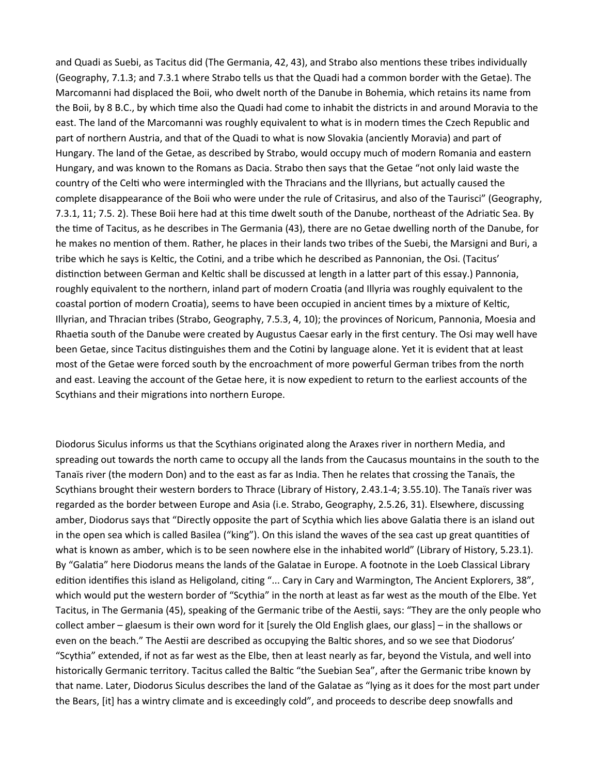and Quadi as Suebi, as Tacitus did (The Germania, 42, 43), and Strabo also mentions these tribes individually (Geography, 7.1.3; and 7.3.1 where Strabo tells us that the Quadi had a common border with the Getae). The Marcomanni had displaced the Boii, who dwelt north of the Danube in Bohemia, which retains its name from the Boii, by 8 B.C., by which time also the Quadi had come to inhabit the districts in and around Moravia to the east. The land of the Marcomanni was roughly equivalent to what is in modern times the Czech Republic and part of northern Austria, and that of the Quadi to what is now Slovakia (anciently Moravia) and part of Hungary. The land of the Getae, as described by Strabo, would occupy much of modern Romania and eastern Hungary, and was known to the Romans as Dacia. Strabo then says that the Getae "not only laid waste the country of the Celti who were intermingled with the Thracians and the Illyrians, but actually caused the complete disappearance of the Boii who were under the rule of Critasirus, and also of the Taurisci" (Geography, 7.3.1, 11; 7.5. 2). These Boii here had at this time dwelt south of the Danube, northeast of the Adriatic Sea. By the time of Tacitus, as he describes in The Germania (43), there are no Getae dwelling north of the Danube, for he makes no mention of them. Rather, he places in their lands two tribes of the Suebi, the Marsigni and Buri, a tribe which he says is Keltic, the Cotini, and a tribe which he described as Pannonian, the Osi. (Tacitus' distinction between German and Keltic shall be discussed at length in a latter part of this essay.) Pannonia, roughly equivalent to the northern, inland part of modern Croatia (and Illyria was roughly equivalent to the coastal portion of modern Croatia), seems to have been occupied in ancient times by a mixture of Keltic, Illyrian, and Thracian tribes (Strabo, Geography, 7.5.3, 4, 10); the provinces of Noricum, Pannonia, Moesia and Rhaetia south of the Danube were created by Augustus Caesar early in the first century. The Osi may well have been Getae, since Tacitus distinguishes them and the Cotini by language alone. Yet it is evident that at least most of the Getae were forced south by the encroachment of more powerful German tribes from the north and east. Leaving the account of the Getae here, it is now expedient to return to the earliest accounts of the Scythians and their migrations into northern Europe.

Diodorus Siculus informs us that the Scythians originated along the Araxes river in northern Media, and spreading out towards the north came to occupy all the lands from the Caucasus mountains in the south to the Tanaïs river (the modern Don) and to the east as far as India. Then he relates that crossing the Tanaïs, the Scythians brought their western borders to Thrace (Library of History, 2.43.1-4; 3.55.10). The Tanaïs river was regarded as the border between Europe and Asia (i.e. Strabo, Geography, 2.5.26, 31). Elsewhere, discussing amber, Diodorus says that "Directly opposite the part of Scythia which lies above Galatia there is an island out in the open sea which is called Basilea ("king"). On this island the waves of the sea cast up great quantities of what is known as amber, which is to be seen nowhere else in the inhabited world" (Library of History, 5.23.1). By "Galatia" here Diodorus means the lands of the Galatae in Europe. A footnote in the Loeb Classical Library edition identifies this island as Heligoland, citing "... Cary in Cary and Warmington, The Ancient Explorers, 38", which would put the western border of "Scythia" in the north at least as far west as the mouth of the Elbe. Yet Tacitus, in The Germania (45), speaking of the Germanic tribe of the Aestii, says: "They are the only people who collect amber – glaesum is their own word for it [surely the Old English glaes, our glass] – in the shallows or even on the beach." The Aestii are described as occupying the Baltic shores, and so we see that Diodorus' "Scythia" extended, if not as far west as the Elbe, then at least nearly as far, beyond the Vistula, and well into historically Germanic territory. Tacitus called the Baltic "the Suebian Sea", after the Germanic tribe known by that name. Later, Diodorus Siculus describes the land of the Galatae as "lying as it does for the most part under the Bears, [it] has a wintry climate and is exceedingly cold", and proceeds to describe deep snowfalls and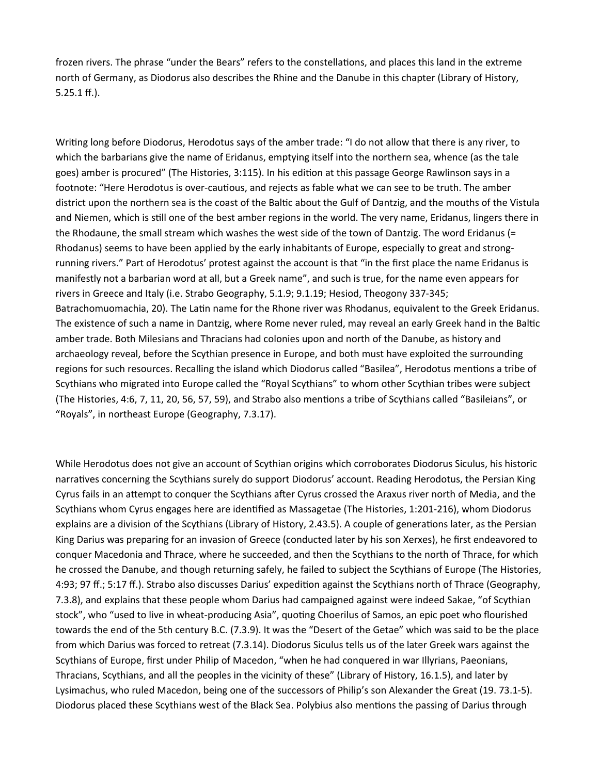frozen rivers. The phrase "under the Bears" refers to the constellations, and places this land in the extreme north of Germany, as Diodorus also describes the Rhine and the Danube in this chapter (Library of History, 5.25.1 ff.).

Writing long before Diodorus, Herodotus says of the amber trade: "I do not allow that there is any river, to which the barbarians give the name of Eridanus, emptying itself into the northern sea, whence (as the tale goes) amber is procured" (The Histories, 3:115). In his edition at this passage George Rawlinson says in a footnote: "Here Herodotus is over-cautious, and rejects as fable what we can see to be truth. The amber district upon the northern sea is the coast of the Baltic about the Gulf of Dantzig, and the mouths of the Vistula and Niemen, which is still one of the best amber regions in the world. The very name, Eridanus, lingers there in the Rhodaune, the small stream which washes the west side of the town of Dantzig. The word Eridanus (= Rhodanus) seems to have been applied by the early inhabitants of Europe, especially to great and strongrunning rivers." Part of Herodotus' protest against the account is that "in the first place the name Eridanus is manifestly not a barbarian word at all, but a Greek name", and such is true, for the name even appears for rivers in Greece and Italy (i.e. Strabo Geography, 5.1.9; 9.1.19; Hesiod, Theogony 337-345; Batrachomuomachia, 20). The Latin name for the Rhone river was Rhodanus, equivalent to the Greek Eridanus. The existence of such a name in Dantzig, where Rome never ruled, may reveal an early Greek hand in the Baltic amber trade. Both Milesians and Thracians had colonies upon and north of the Danube, as history and archaeology reveal, before the Scythian presence in Europe, and both must have exploited the surrounding regions for such resources. Recalling the island which Diodorus called "Basilea", Herodotus mentions a tribe of Scythians who migrated into Europe called the "Royal Scythians" to whom other Scythian tribes were subject (The Histories, 4:6, 7, 11, 20, 56, 57, 59), and Strabo also mentions a tribe of Scythians called "Basileians", or "Royals", in northeast Europe (Geography, 7.3.17).

While Herodotus does not give an account of Scythian origins which corroborates Diodorus Siculus, his historic narratives concerning the Scythians surely do support Diodorus' account. Reading Herodotus, the Persian King Cyrus fails in an attempt to conquer the Scythians after Cyrus crossed the Araxus river north of Media, and the Scythians whom Cyrus engages here are identified as Massagetae (The Histories, 1:201-216), whom Diodorus explains are a division of the Scythians (Library of History, 2.43.5). A couple of generations later, as the Persian King Darius was preparing for an invasion of Greece (conducted later by his son Xerxes), he first endeavored to conquer Macedonia and Thrace, where he succeeded, and then the Scythians to the north of Thrace, for which he crossed the Danube, and though returning safely, he failed to subject the Scythians of Europe (The Histories, 4:93; 97 ff.; 5:17 ff.). Strabo also discusses Darius' expedition against the Scythians north of Thrace (Geography, 7.3.8), and explains that these people whom Darius had campaigned against were indeed Sakae, "of Scythian stock", who "used to live in wheat-producing Asia", quoting Choerilus of Samos, an epic poet who flourished towards the end of the 5th century B.C. (7.3.9). It was the "Desert of the Getae" which was said to be the place from which Darius was forced to retreat (7.3.14). Diodorus Siculus tells us of the later Greek wars against the Scythians of Europe, first under Philip of Macedon, "when he had conquered in war Illyrians, Paeonians, Thracians, Scythians, and all the peoples in the vicinity of these" (Library of History, 16.1.5), and later by Lysimachus, who ruled Macedon, being one of the successors of Philip's son Alexander the Great (19. 73.1-5). Diodorus placed these Scythians west of the Black Sea. Polybius also mentions the passing of Darius through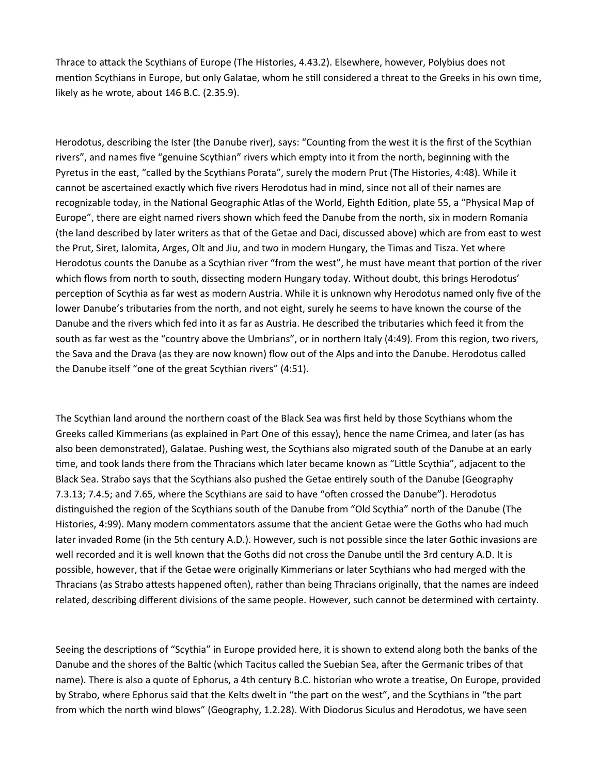Thrace to attack the Scythians of Europe (The Histories, 4.43.2). Elsewhere, however, Polybius does not mention Scythians in Europe, but only Galatae, whom he still considered a threat to the Greeks in his own time, likely as he wrote, about 146 B.C. (2.35.9).

Herodotus, describing the Ister (the Danube river), says: "Counting from the west it is the first of the Scythian rivers", and names five "genuine Scythian" rivers which empty into it from the north, beginning with the Pyretus in the east, "called by the Scythians Porata", surely the modern Prut (The Histories, 4:48). While it cannot be ascertained exactly which five rivers Herodotus had in mind, since not all of their names are recognizable today, in the National Geographic Atlas of the World, Eighth Edition, plate 55, a "Physical Map of Europe", there are eight named rivers shown which feed the Danube from the north, six in modern Romania (the land described by later writers as that of the Getae and Daci, discussed above) which are from east to west the Prut, Siret, Ialomita, Arges, Olt and Jiu, and two in modern Hungary, the Timas and Tisza. Yet where Herodotus counts the Danube as a Scythian river "from the west", he must have meant that portion of the river which flows from north to south, dissecting modern Hungary today. Without doubt, this brings Herodotus' perception of Scythia as far west as modern Austria. While it is unknown why Herodotus named only five of the lower Danube's tributaries from the north, and not eight, surely he seems to have known the course of the Danube and the rivers which fed into it as far as Austria. He described the tributaries which feed it from the south as far west as the "country above the Umbrians", or in northern Italy (4:49). From this region, two rivers, the Sava and the Drava (as they are now known) flow out of the Alps and into the Danube. Herodotus called the Danube itself "one of the great Scythian rivers" (4:51).

The Scythian land around the northern coast of the Black Sea was first held by those Scythians whom the Greeks called Kimmerians (as explained in Part One of this essay), hence the name Crimea, and later (as has also been demonstrated), Galatae. Pushing west, the Scythians also migrated south of the Danube at an early time, and took lands there from the Thracians which later became known as "Little Scythia", adjacent to the Black Sea. Strabo says that the Scythians also pushed the Getae entirely south of the Danube (Geography 7.3.13; 7.4.5; and 7.65, where the Scythians are said to have "often crossed the Danube"). Herodotus distinguished the region of the Scythians south of the Danube from "Old Scythia" north of the Danube (The Histories, 4:99). Many modern commentators assume that the ancient Getae were the Goths who had much later invaded Rome (in the 5th century A.D.). However, such is not possible since the later Gothic invasions are well recorded and it is well known that the Goths did not cross the Danube until the 3rd century A.D. It is possible, however, that if the Getae were originally Kimmerians or later Scythians who had merged with the Thracians (as Strabo attests happened often), rather than being Thracians originally, that the names are indeed related, describing different divisions of the same people. However, such cannot be determined with certainty.

Seeing the descriptions of "Scythia" in Europe provided here, it is shown to extend along both the banks of the Danube and the shores of the Baltic (which Tacitus called the Suebian Sea, after the Germanic tribes of that name). There is also a quote of Ephorus, a 4th century B.C. historian who wrote a treatise, On Europe, provided by Strabo, where Ephorus said that the Kelts dwelt in "the part on the west", and the Scythians in "the part from which the north wind blows" (Geography, 1.2.28). With Diodorus Siculus and Herodotus, we have seen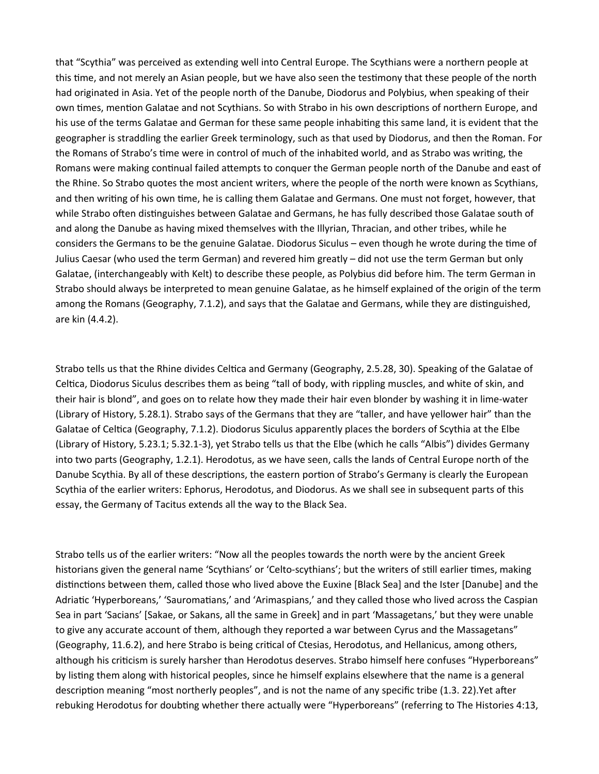that "Scythia" was perceived as extending well into Central Europe. The Scythians were a northern people at this time, and not merely an Asian people, but we have also seen the testimony that these people of the north had originated in Asia. Yet of the people north of the Danube, Diodorus and Polybius, when speaking of their own times, mention Galatae and not Scythians. So with Strabo in his own descriptions of northern Europe, and his use of the terms Galatae and German for these same people inhabiting this same land, it is evident that the geographer is straddling the earlier Greek terminology, such as that used by Diodorus, and then the Roman. For the Romans of Strabo's time were in control of much of the inhabited world, and as Strabo was writing, the Romans were making continual failed attempts to conquer the German people north of the Danube and east of the Rhine. So Strabo quotes the most ancient writers, where the people of the north were known as Scythians, and then writing of his own time, he is calling them Galatae and Germans. One must not forget, however, that while Strabo often distinguishes between Galatae and Germans, he has fully described those Galatae south of and along the Danube as having mixed themselves with the Illyrian, Thracian, and other tribes, while he considers the Germans to be the genuine Galatae. Diodorus Siculus – even though he wrote during the time of Julius Caesar (who used the term German) and revered him greatly – did not use the term German but only Galatae, (interchangeably with Kelt) to describe these people, as Polybius did before him. The term German in Strabo should always be interpreted to mean genuine Galatae, as he himself explained of the origin of the term among the Romans (Geography, 7.1.2), and says that the Galatae and Germans, while they are distinguished, are kin (4.4.2).

Strabo tells us that the Rhine divides Celtica and Germany (Geography, 2.5.28, 30). Speaking of the Galatae of Celtica, Diodorus Siculus describes them as being "tall of body, with rippling muscles, and white of skin, and their hair is blond", and goes on to relate how they made their hair even blonder by washing it in lime-water (Library of History, 5.28.1). Strabo says of the Germans that they are "taller, and have yellower hair" than the Galatae of Celtica (Geography, 7.1.2). Diodorus Siculus apparently places the borders of Scythia at the Elbe (Library of History, 5.23.1; 5.32.1-3), yet Strabo tells us that the Elbe (which he calls "Albis") divides Germany into two parts (Geography, 1.2.1). Herodotus, as we have seen, calls the lands of Central Europe north of the Danube Scythia. By all of these descriptions, the eastern portion of Strabo's Germany is clearly the European Scythia of the earlier writers: Ephorus, Herodotus, and Diodorus. As we shall see in subsequent parts of this essay, the Germany of Tacitus extends all the way to the Black Sea.

Strabo tells us of the earlier writers: "Now all the peoples towards the north were by the ancient Greek historians given the general name 'Scythians' or 'Celto-scythians'; but the writers of still earlier times, making distinctions between them, called those who lived above the Euxine [Black Sea] and the Ister [Danube] and the Adriatic 'Hyperboreans,' 'Sauromatians,' and 'Arimaspians,' and they called those who lived across the Caspian Sea in part 'Sacians' [Sakae, or Sakans, all the same in Greek] and in part 'Massagetans,' but they were unable to give any accurate account of them, although they reported a war between Cyrus and the Massagetans" (Geography, 11.6.2), and here Strabo is being critical of Ctesias, Herodotus, and Hellanicus, among others, although his criticism is surely harsher than Herodotus deserves. Strabo himself here confuses "Hyperboreans" by listing them along with historical peoples, since he himself explains elsewhere that the name is a general description meaning "most northerly peoples", and is not the name of any specific tribe (1.3. 22).Yet after rebuking Herodotus for doubting whether there actually were "Hyperboreans" (referring to The Histories 4:13,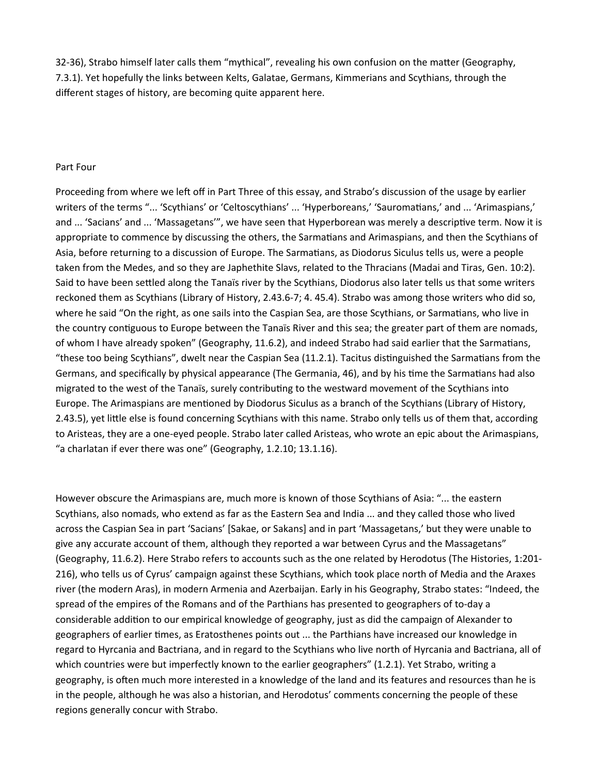32-36), Strabo himself later calls them "mythical", revealing his own confusion on the matter (Geography, 7.3.1). Yet hopefully the links between Kelts, Galatae, Germans, Kimmerians and Scythians, through the different stages of history, are becoming quite apparent here.

### Part Four

Proceeding from where we left off in Part Three of this essay, and Strabo's discussion of the usage by earlier writers of the terms "... 'Scythians' or 'Celtoscythians' ... 'Hyperboreans,' 'Sauromatians,' and ... 'Arimaspians,' and ... 'Sacians' and ... 'Massagetans'", we have seen that Hyperborean was merely a descriptive term. Now it is appropriate to commence by discussing the others, the Sarmatians and Arimaspians, and then the Scythians of Asia, before returning to a discussion of Europe. The Sarmatians, as Diodorus Siculus tells us, were a people taken from the Medes, and so they are Japhethite Slavs, related to the Thracians (Madai and Tiras, Gen. 10:2). Said to have been settled along the Tanaïs river by the Scythians, Diodorus also later tells us that some writers reckoned them as Scythians (Library of History, 2.43.6-7; 4. 45.4). Strabo was among those writers who did so, where he said "On the right, as one sails into the Caspian Sea, are those Scythians, or Sarmatians, who live in the country contiguous to Europe between the Tanaïs River and this sea; the greater part of them are nomads, of whom I have already spoken" (Geography, 11.6.2), and indeed Strabo had said earlier that the Sarmatians, "these too being Scythians", dwelt near the Caspian Sea (11.2.1). Tacitus distinguished the Sarmatians from the Germans, and specifically by physical appearance (The Germania, 46), and by his time the Sarmatians had also migrated to the west of the Tanaïs, surely contributing to the westward movement of the Scythians into Europe. The Arimaspians are mentioned by Diodorus Siculus as a branch of the Scythians (Library of History, 2.43.5), yet little else is found concerning Scythians with this name. Strabo only tells us of them that, according to Aristeas, they are a one-eyed people. Strabo later called Aristeas, who wrote an epic about the Arimaspians, "a charlatan if ever there was one" (Geography, 1.2.10; 13.1.16).

However obscure the Arimaspians are, much more is known of those Scythians of Asia: "... the eastern Scythians, also nomads, who extend as far as the Eastern Sea and India ... and they called those who lived across the Caspian Sea in part 'Sacians' [Sakae, or Sakans] and in part 'Massagetans,' but they were unable to give any accurate account of them, although they reported a war between Cyrus and the Massagetans" (Geography, 11.6.2). Here Strabo refers to accounts such as the one related by Herodotus (The Histories, 1:201- 216), who tells us of Cyrus' campaign against these Scythians, which took place north of Media and the Araxes river (the modern Aras), in modern Armenia and Azerbaijan. Early in his Geography, Strabo states: "Indeed, the spread of the empires of the Romans and of the Parthians has presented to geographers of to-day a considerable addition to our empirical knowledge of geography, just as did the campaign of Alexander to geographers of earlier times, as Eratosthenes points out ... the Parthians have increased our knowledge in regard to Hyrcania and Bactriana, and in regard to the Scythians who live north of Hyrcania and Bactriana, all of which countries were but imperfectly known to the earlier geographers" (1.2.1). Yet Strabo, writing a geography, is often much more interested in a knowledge of the land and its features and resources than he is in the people, although he was also a historian, and Herodotus' comments concerning the people of these regions generally concur with Strabo.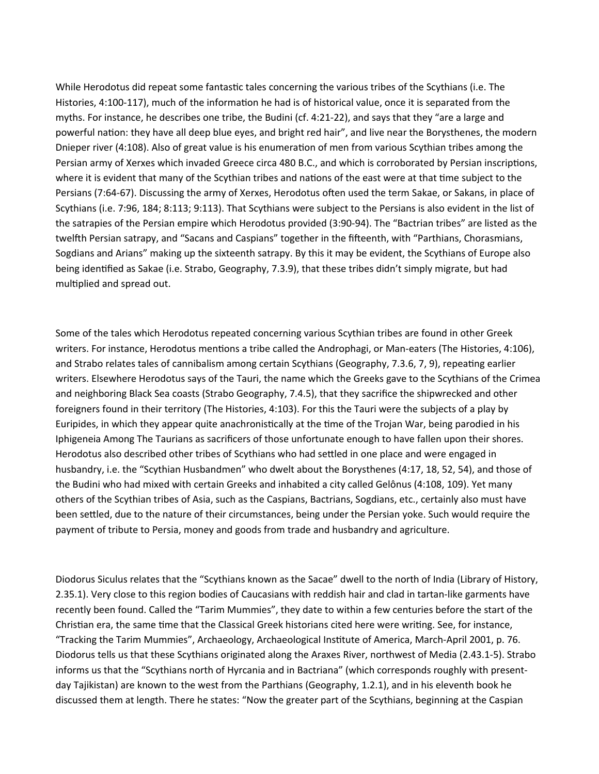While Herodotus did repeat some fantastic tales concerning the various tribes of the Scythians (i.e. The Histories, 4:100-117), much of the information he had is of historical value, once it is separated from the myths. For instance, he describes one tribe, the Budini (cf. 4:21-22), and says that they "are a large and powerful nation: they have all deep blue eyes, and bright red hair", and live near the Borysthenes, the modern Dnieper river (4:108). Also of great value is his enumeration of men from various Scythian tribes among the Persian army of Xerxes which invaded Greece circa 480 B.C., and which is corroborated by Persian inscriptions, where it is evident that many of the Scythian tribes and nations of the east were at that time subject to the Persians (7:64-67). Discussing the army of Xerxes, Herodotus often used the term Sakae, or Sakans, in place of Scythians (i.e. 7:96, 184; 8:113; 9:113). That Scythians were subject to the Persians is also evident in the list of the satrapies of the Persian empire which Herodotus provided (3:90-94). The "Bactrian tribes" are listed as the twelfth Persian satrapy, and "Sacans and Caspians" together in the fifteenth, with "Parthians, Chorasmians, Sogdians and Arians" making up the sixteenth satrapy. By this it may be evident, the Scythians of Europe also being identified as Sakae (i.e. Strabo, Geography, 7.3.9), that these tribes didn't simply migrate, but had multiplied and spread out.

Some of the tales which Herodotus repeated concerning various Scythian tribes are found in other Greek writers. For instance, Herodotus mentions a tribe called the Androphagi, or Man-eaters (The Histories, 4:106), and Strabo relates tales of cannibalism among certain Scythians (Geography, 7.3.6, 7, 9), repeating earlier writers. Elsewhere Herodotus says of the Tauri, the name which the Greeks gave to the Scythians of the Crimea and neighboring Black Sea coasts (Strabo Geography, 7.4.5), that they sacrifice the shipwrecked and other foreigners found in their territory (The Histories, 4:103). For this the Tauri were the subjects of a play by Euripides, in which they appear quite anachronistically at the time of the Trojan War, being parodied in his Iphigeneia Among The Taurians as sacrificers of those unfortunate enough to have fallen upon their shores. Herodotus also described other tribes of Scythians who had settled in one place and were engaged in husbandry, i.e. the "Scythian Husbandmen" who dwelt about the Borysthenes (4:17, 18, 52, 54), and those of the Budini who had mixed with certain Greeks and inhabited a city called Gelônus (4:108, 109). Yet many others of the Scythian tribes of Asia, such as the Caspians, Bactrians, Sogdians, etc., certainly also must have been settled, due to the nature of their circumstances, being under the Persian yoke. Such would require the payment of tribute to Persia, money and goods from trade and husbandry and agriculture.

Diodorus Siculus relates that the "Scythians known as the Sacae" dwell to the north of India (Library of History, 2.35.1). Very close to this region bodies of Caucasians with reddish hair and clad in tartan-like garments have recently been found. Called the "Tarim Mummies", they date to within a few centuries before the start of the Christian era, the same time that the Classical Greek historians cited here were writing. See, for instance, "Tracking the Tarim Mummies", Archaeology, Archaeological Institute of America, March-April 2001, p. 76. Diodorus tells us that these Scythians originated along the Araxes River, northwest of Media (2.43.1-5). Strabo informs us that the "Scythians north of Hyrcania and in Bactriana" (which corresponds roughly with presentday Tajikistan) are known to the west from the Parthians (Geography, 1.2.1), and in his eleventh book he discussed them at length. There he states: "Now the greater part of the Scythians, beginning at the Caspian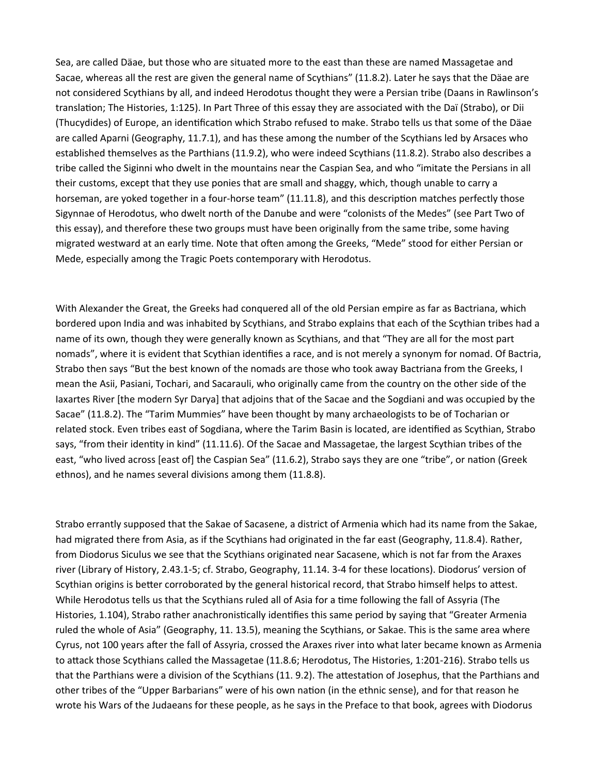Sea, are called Däae, but those who are situated more to the east than these are named Massagetae and Sacae, whereas all the rest are given the general name of Scythians" (11.8.2). Later he says that the Däae are not considered Scythians by all, and indeed Herodotus thought they were a Persian tribe (Daans in Rawlinson's translation; The Histories, 1:125). In Part Three of this essay they are associated with the Daï (Strabo), or Dii (Thucydides) of Europe, an identification which Strabo refused to make. Strabo tells us that some of the Däae are called Aparni (Geography, 11.7.1), and has these among the number of the Scythians led by Arsaces who established themselves as the Parthians (11.9.2), who were indeed Scythians (11.8.2). Strabo also describes a tribe called the Siginni who dwelt in the mountains near the Caspian Sea, and who "imitate the Persians in all their customs, except that they use ponies that are small and shaggy, which, though unable to carry a horseman, are yoked together in a four-horse team" (11.11.8), and this description matches perfectly those Sigynnae of Herodotus, who dwelt north of the Danube and were "colonists of the Medes" (see Part Two of this essay), and therefore these two groups must have been originally from the same tribe, some having migrated westward at an early time. Note that often among the Greeks, "Mede" stood for either Persian or Mede, especially among the Tragic Poets contemporary with Herodotus.

With Alexander the Great, the Greeks had conquered all of the old Persian empire as far as Bactriana, which bordered upon India and was inhabited by Scythians, and Strabo explains that each of the Scythian tribes had a name of its own, though they were generally known as Scythians, and that "They are all for the most part nomads", where it is evident that Scythian identifies a race, and is not merely a synonym for nomad. Of Bactria, Strabo then says "But the best known of the nomads are those who took away Bactriana from the Greeks, I mean the Asii, Pasiani, Tochari, and Sacarauli, who originally came from the country on the other side of the Iaxartes River [the modern Syr Darya] that adjoins that of the Sacae and the Sogdiani and was occupied by the Sacae" (11.8.2). The "Tarim Mummies" have been thought by many archaeologists to be of Tocharian or related stock. Even tribes east of Sogdiana, where the Tarim Basin is located, are identified as Scythian, Strabo says, "from their identity in kind" (11.11.6). Of the Sacae and Massagetae, the largest Scythian tribes of the east, "who lived across [east of] the Caspian Sea" (11.6.2), Strabo says they are one "tribe", or nation (Greek ethnos), and he names several divisions among them (11.8.8).

Strabo errantly supposed that the Sakae of Sacasene, a district of Armenia which had its name from the Sakae, had migrated there from Asia, as if the Scythians had originated in the far east (Geography, 11.8.4). Rather, from Diodorus Siculus we see that the Scythians originated near Sacasene, which is not far from the Araxes river (Library of History, 2.43.1-5; cf. Strabo, Geography, 11.14. 3-4 for these locations). Diodorus' version of Scythian origins is better corroborated by the general historical record, that Strabo himself helps to attest. While Herodotus tells us that the Scythians ruled all of Asia for a time following the fall of Assyria (The Histories, 1.104), Strabo rather anachronistically identifies this same period by saying that "Greater Armenia ruled the whole of Asia" (Geography, 11. 13.5), meaning the Scythians, or Sakae. This is the same area where Cyrus, not 100 years after the fall of Assyria, crossed the Araxes river into what later became known as Armenia to attack those Scythians called the Massagetae (11.8.6; Herodotus, The Histories, 1:201-216). Strabo tells us that the Parthians were a division of the Scythians (11. 9.2). The attestation of Josephus, that the Parthians and other tribes of the "Upper Barbarians" were of his own nation (in the ethnic sense), and for that reason he wrote his Wars of the Judaeans for these people, as he says in the Preface to that book, agrees with Diodorus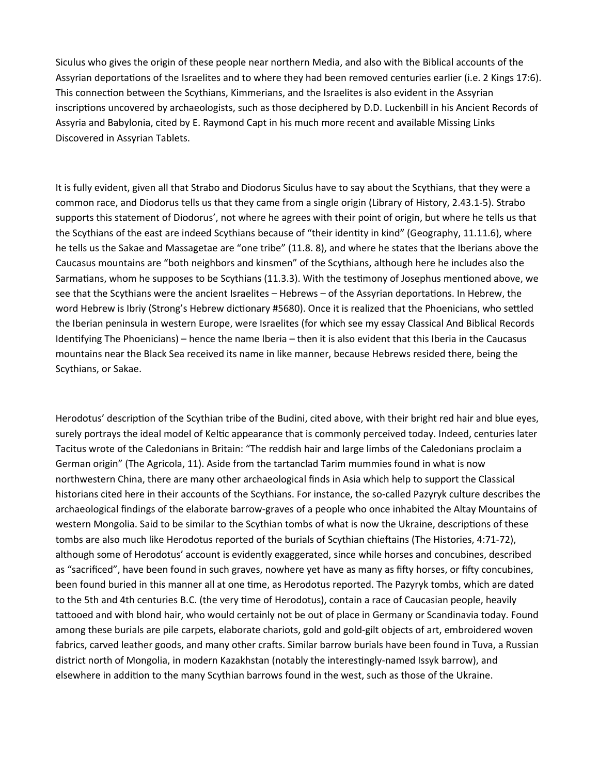Siculus who gives the origin of these people near northern Media, and also with the Biblical accounts of the Assyrian deportations of the Israelites and to where they had been removed centuries earlier (i.e. 2 Kings 17:6). This connection between the Scythians, Kimmerians, and the Israelites is also evident in the Assyrian inscriptions uncovered by archaeologists, such as those deciphered by D.D. Luckenbill in his Ancient Records of Assyria and Babylonia, cited by E. Raymond Capt in his much more recent and available Missing Links Discovered in Assyrian Tablets.

It is fully evident, given all that Strabo and Diodorus Siculus have to say about the Scythians, that they were a common race, and Diodorus tells us that they came from a single origin (Library of History, 2.43.1-5). Strabo supports this statement of Diodorus', not where he agrees with their point of origin, but where he tells us that the Scythians of the east are indeed Scythians because of "their identity in kind" (Geography, 11.11.6), where he tells us the Sakae and Massagetae are "one tribe" (11.8. 8), and where he states that the Iberians above the Caucasus mountains are "both neighbors and kinsmen" of the Scythians, although here he includes also the Sarmatians, whom he supposes to be Scythians (11.3.3). With the testimony of Josephus mentioned above, we see that the Scythians were the ancient Israelites – Hebrews – of the Assyrian deportations. In Hebrew, the word Hebrew is Ibriy (Strong's Hebrew dictionary #5680). Once it is realized that the Phoenicians, who settled the Iberian peninsula in western Europe, were Israelites (for which see my essay Classical And Biblical Records Identifying The Phoenicians) – hence the name Iberia – then it is also evident that this Iberia in the Caucasus mountains near the Black Sea received its name in like manner, because Hebrews resided there, being the Scythians, or Sakae.

Herodotus' description of the Scythian tribe of the Budini, cited above, with their bright red hair and blue eyes, surely portrays the ideal model of Keltic appearance that is commonly perceived today. Indeed, centuries later Tacitus wrote of the Caledonians in Britain: "The reddish hair and large limbs of the Caledonians proclaim a German origin" (The Agricola, 11). Aside from the tartanclad Tarim mummies found in what is now northwestern China, there are many other archaeological finds in Asia which help to support the Classical historians cited here in their accounts of the Scythians. For instance, the so-called Pazyryk culture describes the archaeological findings of the elaborate barrow-graves of a people who once inhabited the Altay Mountains of western Mongolia. Said to be similar to the Scythian tombs of what is now the Ukraine, descriptions of these tombs are also much like Herodotus reported of the burials of Scythian chieftains (The Histories, 4:71-72), although some of Herodotus' account is evidently exaggerated, since while horses and concubines, described as "sacrificed", have been found in such graves, nowhere yet have as many as fifty horses, or fifty concubines, been found buried in this manner all at one time, as Herodotus reported. The Pazyryk tombs, which are dated to the 5th and 4th centuries B.C. (the very time of Herodotus), contain a race of Caucasian people, heavily tattooed and with blond hair, who would certainly not be out of place in Germany or Scandinavia today. Found among these burials are pile carpets, elaborate chariots, gold and gold-gilt objects of art, embroidered woven fabrics, carved leather goods, and many other crafts. Similar barrow burials have been found in Tuva, a Russian district north of Mongolia, in modern Kazakhstan (notably the interestingly-named Issyk barrow), and elsewhere in addition to the many Scythian barrows found in the west, such as those of the Ukraine.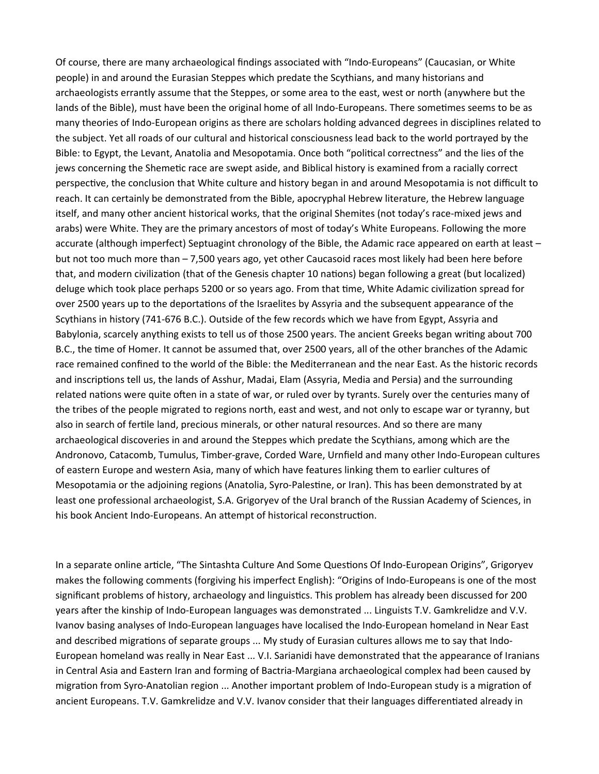Of course, there are many archaeological findings associated with "Indo-Europeans" (Caucasian, or White people) in and around the Eurasian Steppes which predate the Scythians, and many historians and archaeologists errantly assume that the Steppes, or some area to the east, west or north (anywhere but the lands of the Bible), must have been the original home of all Indo-Europeans. There sometimes seems to be as many theories of Indo-European origins as there are scholars holding advanced degrees in disciplines related to the subject. Yet all roads of our cultural and historical consciousness lead back to the world portrayed by the Bible: to Egypt, the Levant, Anatolia and Mesopotamia. Once both "political correctness" and the lies of the jews concerning the Shemetic race are swept aside, and Biblical history is examined from a racially correct perspective, the conclusion that White culture and history began in and around Mesopotamia is not difficult to reach. It can certainly be demonstrated from the Bible, apocryphal Hebrew literature, the Hebrew language itself, and many other ancient historical works, that the original Shemites (not today's race-mixed jews and arabs) were White. They are the primary ancestors of most of today's White Europeans. Following the more accurate (although imperfect) Septuagint chronology of the Bible, the Adamic race appeared on earth at least – but not too much more than – 7,500 years ago, yet other Caucasoid races most likely had been here before that, and modern civilization (that of the Genesis chapter 10 nations) began following a great (but localized) deluge which took place perhaps 5200 or so years ago. From that time, White Adamic civilization spread for over 2500 years up to the deportations of the Israelites by Assyria and the subsequent appearance of the Scythians in history (741-676 B.C.). Outside of the few records which we have from Egypt, Assyria and Babylonia, scarcely anything exists to tell us of those 2500 years. The ancient Greeks began writing about 700 B.C., the time of Homer. It cannot be assumed that, over 2500 years, all of the other branches of the Adamic race remained confined to the world of the Bible: the Mediterranean and the near East. As the historic records and inscriptions tell us, the lands of Asshur, Madai, Elam (Assyria, Media and Persia) and the surrounding related nations were quite often in a state of war, or ruled over by tyrants. Surely over the centuries many of the tribes of the people migrated to regions north, east and west, and not only to escape war or tyranny, but also in search of fertile land, precious minerals, or other natural resources. And so there are many archaeological discoveries in and around the Steppes which predate the Scythians, among which are the Andronovo, Catacomb, Tumulus, Timber-grave, Corded Ware, Urnfield and many other Indo-European cultures of eastern Europe and western Asia, many of which have features linking them to earlier cultures of Mesopotamia or the adjoining regions (Anatolia, Syro-Palestine, or Iran). This has been demonstrated by at least one professional archaeologist, S.A. Grigoryev of the Ural branch of the Russian Academy of Sciences, in his book Ancient Indo-Europeans. An attempt of historical reconstruction.

In a separate online article, "The Sintashta Culture And Some Questions Of Indo-European Origins", Grigoryev makes the following comments (forgiving his imperfect English): "Origins of Indo-Europeans is one of the most significant problems of history, archaeology and linguistics. This problem has already been discussed for 200 years after the kinship of Indo-European languages was demonstrated ... Linguists T.V. Gamkrelidze and V.V. Ivanov basing analyses of Indo-European languages have localised the Indo-European homeland in Near East and described migrations of separate groups ... My study of Eurasian cultures allows me to say that Indo-European homeland was really in Near East ... V.I. Sarianidi have demonstrated that the appearance of Iranians in Central Asia and Eastern Iran and forming of Bactria-Margiana archaeological complex had been caused by migration from Syro-Anatolian region ... Another important problem of Indo-European study is a migration of ancient Europeans. T.V. Gamkrelidze and V.V. Ivanov consider that their languages differentiated already in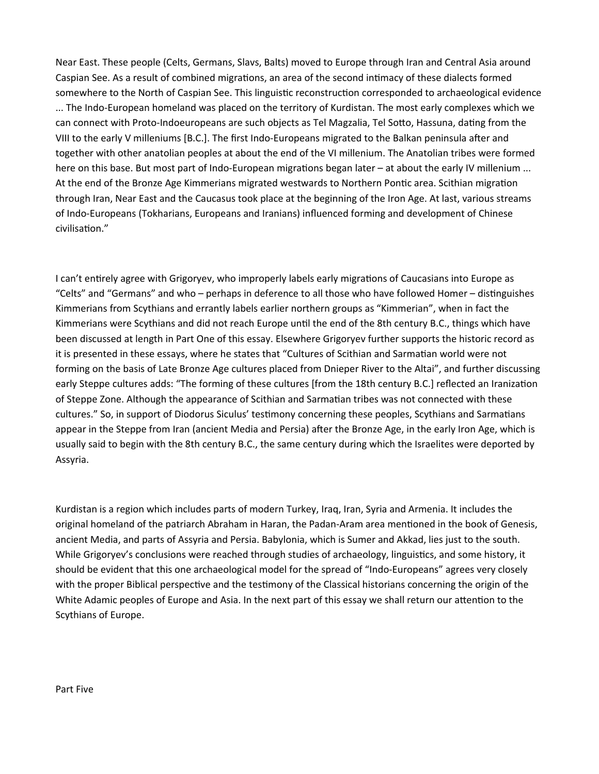Near East. These people (Celts, Germans, Slavs, Balts) moved to Europe through Iran and Central Asia around Caspian See. As a result of combined migrations, an area of the second intimacy of these dialects formed somewhere to the North of Caspian See. This linguistic reconstruction corresponded to archaeological evidence ... The Indo-European homeland was placed on the territory of Kurdistan. The most early complexes which we can connect with Proto-Indoeuropeans are such objects as Tel Magzalia, Tel Sotto, Hassuna, dating from the VIII to the early V milleniums [B.C.]. The first Indo-Europeans migrated to the Balkan peninsula after and together with other anatolian peoples at about the end of the VI millenium. The Anatolian tribes were formed here on this base. But most part of Indo-European migrations began later – at about the early IV millenium ... At the end of the Bronze Age Kimmerians migrated westwards to Northern Pontic area. Scithian migration through Iran, Near East and the Caucasus took place at the beginning of the Iron Age. At last, various streams of Indo-Europeans (Tokharians, Europeans and Iranians) influenced forming and development of Chinese civilisation."

I can't entirely agree with Grigoryev, who improperly labels early migrations of Caucasians into Europe as "Celts" and "Germans" and who – perhaps in deference to all those who have followed Homer – distinguishes Kimmerians from Scythians and errantly labels earlier northern groups as "Kimmerian", when in fact the Kimmerians were Scythians and did not reach Europe until the end of the 8th century B.C., things which have been discussed at length in Part One of this essay. Elsewhere Grigoryev further supports the historic record as it is presented in these essays, where he states that "Cultures of Scithian and Sarmatian world were not forming on the basis of Late Bronze Age cultures placed from Dnieper River to the Altai", and further discussing early Steppe cultures adds: "The forming of these cultures [from the 18th century B.C.] reflected an Iranization of Steppe Zone. Although the appearance of Scithian and Sarmatian tribes was not connected with these cultures." So, in support of Diodorus Siculus' testimony concerning these peoples, Scythians and Sarmatians appear in the Steppe from Iran (ancient Media and Persia) after the Bronze Age, in the early Iron Age, which is usually said to begin with the 8th century B.C., the same century during which the Israelites were deported by Assyria.

Kurdistan is a region which includes parts of modern Turkey, Iraq, Iran, Syria and Armenia. It includes the original homeland of the patriarch Abraham in Haran, the Padan-Aram area mentioned in the book of Genesis, ancient Media, and parts of Assyria and Persia. Babylonia, which is Sumer and Akkad, lies just to the south. While Grigoryev's conclusions were reached through studies of archaeology, linguistics, and some history, it should be evident that this one archaeological model for the spread of "Indo-Europeans" agrees very closely with the proper Biblical perspective and the testimony of the Classical historians concerning the origin of the White Adamic peoples of Europe and Asia. In the next part of this essay we shall return our attention to the Scythians of Europe.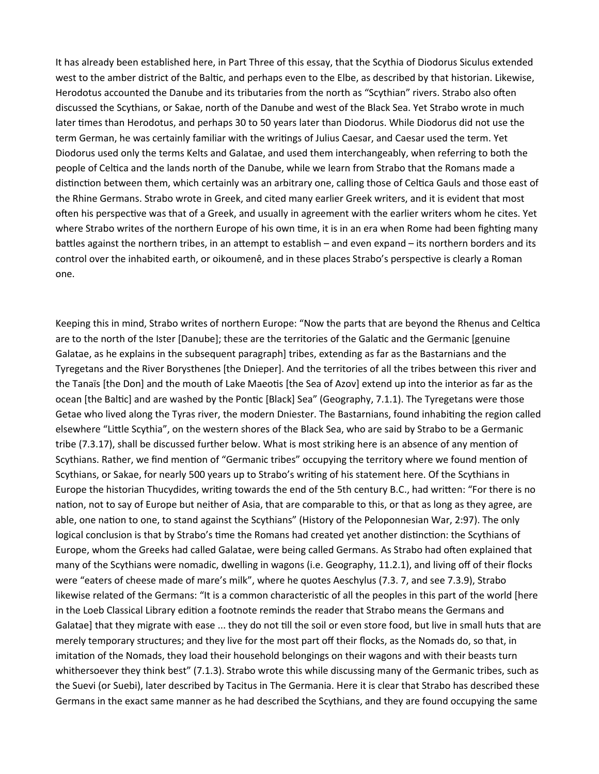It has already been established here, in Part Three of this essay, that the Scythia of Diodorus Siculus extended west to the amber district of the Baltic, and perhaps even to the Elbe, as described by that historian. Likewise, Herodotus accounted the Danube and its tributaries from the north as "Scythian" rivers. Strabo also often discussed the Scythians, or Sakae, north of the Danube and west of the Black Sea. Yet Strabo wrote in much later times than Herodotus, and perhaps 30 to 50 years later than Diodorus. While Diodorus did not use the term German, he was certainly familiar with the writings of Julius Caesar, and Caesar used the term. Yet Diodorus used only the terms Kelts and Galatae, and used them interchangeably, when referring to both the people of Celtica and the lands north of the Danube, while we learn from Strabo that the Romans made a distinction between them, which certainly was an arbitrary one, calling those of Celtica Gauls and those east of the Rhine Germans. Strabo wrote in Greek, and cited many earlier Greek writers, and it is evident that most often his perspective was that of a Greek, and usually in agreement with the earlier writers whom he cites. Yet where Strabo writes of the northern Europe of his own time, it is in an era when Rome had been fighting many battles against the northern tribes, in an attempt to establish – and even expand – its northern borders and its control over the inhabited earth, or oikoumenê, and in these places Strabo's perspective is clearly a Roman one.

Keeping this in mind, Strabo writes of northern Europe: "Now the parts that are beyond the Rhenus and Celtica are to the north of the Ister [Danube]; these are the territories of the Galatic and the Germanic [genuine Galatae, as he explains in the subsequent paragraph] tribes, extending as far as the Bastarnians and the Tyregetans and the River Borysthenes [the Dnieper]. And the territories of all the tribes between this river and the Tanaïs [the Don] and the mouth of Lake Maeotis [the Sea of Azov] extend up into the interior as far as the ocean [the Baltic] and are washed by the Pontic [Black] Sea" (Geography, 7.1.1). The Tyregetans were those Getae who lived along the Tyras river, the modern Dniester. The Bastarnians, found inhabiting the region called elsewhere "Little Scythia", on the western shores of the Black Sea, who are said by Strabo to be a Germanic tribe (7.3.17), shall be discussed further below. What is most striking here is an absence of any mention of Scythians. Rather, we find mention of "Germanic tribes" occupying the territory where we found mention of Scythians, or Sakae, for nearly 500 years up to Strabo's writing of his statement here. Of the Scythians in Europe the historian Thucydides, writing towards the end of the 5th century B.C., had written: "For there is no nation, not to say of Europe but neither of Asia, that are comparable to this, or that as long as they agree, are able, one nation to one, to stand against the Scythians" (History of the Peloponnesian War, 2:97). The only logical conclusion is that by Strabo's time the Romans had created yet another distinction: the Scythians of Europe, whom the Greeks had called Galatae, were being called Germans. As Strabo had often explained that many of the Scythians were nomadic, dwelling in wagons (i.e. Geography, 11.2.1), and living off of their flocks were "eaters of cheese made of mare's milk", where he quotes Aeschylus (7.3. 7, and see 7.3.9), Strabo likewise related of the Germans: "It is a common characteristic of all the peoples in this part of the world [here in the Loeb Classical Library edition a footnote reminds the reader that Strabo means the Germans and Galatae] that they migrate with ease ... they do not till the soil or even store food, but live in small huts that are merely temporary structures; and they live for the most part off their flocks, as the Nomads do, so that, in imitation of the Nomads, they load their household belongings on their wagons and with their beasts turn whithersoever they think best" (7.1.3). Strabo wrote this while discussing many of the Germanic tribes, such as the Suevi (or Suebi), later described by Tacitus in The Germania. Here it is clear that Strabo has described these Germans in the exact same manner as he had described the Scythians, and they are found occupying the same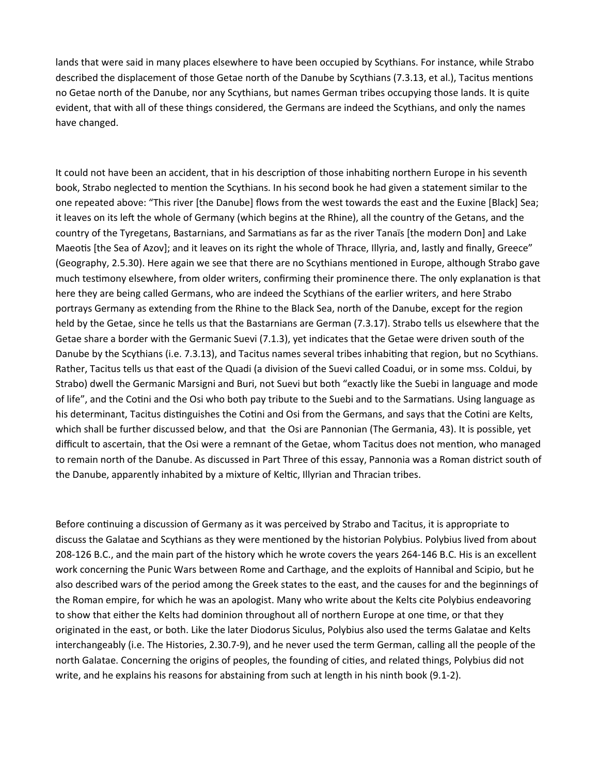lands that were said in many places elsewhere to have been occupied by Scythians. For instance, while Strabo described the displacement of those Getae north of the Danube by Scythians (7.3.13, et al.), Tacitus mentions no Getae north of the Danube, nor any Scythians, but names German tribes occupying those lands. It is quite evident, that with all of these things considered, the Germans are indeed the Scythians, and only the names have changed.

It could not have been an accident, that in his description of those inhabiting northern Europe in his seventh book, Strabo neglected to mention the Scythians. In his second book he had given a statement similar to the one repeated above: "This river [the Danube] flows from the west towards the east and the Euxine [Black] Sea; it leaves on its left the whole of Germany (which begins at the Rhine), all the country of the Getans, and the country of the Tyregetans, Bastarnians, and Sarmatians as far as the river Tanaïs [the modern Don] and Lake Maeotis [the Sea of Azov]; and it leaves on its right the whole of Thrace, Illyria, and, lastly and finally, Greece" (Geography, 2.5.30). Here again we see that there are no Scythians mentioned in Europe, although Strabo gave much testimony elsewhere, from older writers, confirming their prominence there. The only explanation is that here they are being called Germans, who are indeed the Scythians of the earlier writers, and here Strabo portrays Germany as extending from the Rhine to the Black Sea, north of the Danube, except for the region held by the Getae, since he tells us that the Bastarnians are German (7.3.17). Strabo tells us elsewhere that the Getae share a border with the Germanic Suevi (7.1.3), yet indicates that the Getae were driven south of the Danube by the Scythians (i.e. 7.3.13), and Tacitus names several tribes inhabiting that region, but no Scythians. Rather, Tacitus tells us that east of the Quadi (a division of the Suevi called Coadui, or in some mss. Coldui, by Strabo) dwell the Germanic Marsigni and Buri, not Suevi but both "exactly like the Suebi in language and mode of life", and the Cotini and the Osi who both pay tribute to the Suebi and to the Sarmatians. Using language as his determinant, Tacitus distinguishes the Cotini and Osi from the Germans, and says that the Cotini are Kelts, which shall be further discussed below, and that the Osi are Pannonian (The Germania, 43). It is possible, yet difficult to ascertain, that the Osi were a remnant of the Getae, whom Tacitus does not mention, who managed to remain north of the Danube. As discussed in Part Three of this essay, Pannonia was a Roman district south of the Danube, apparently inhabited by a mixture of Keltic, Illyrian and Thracian tribes.

Before continuing a discussion of Germany as it was perceived by Strabo and Tacitus, it is appropriate to discuss the Galatae and Scythians as they were mentioned by the historian Polybius. Polybius lived from about 208-126 B.C., and the main part of the history which he wrote covers the years 264-146 B.C. His is an excellent work concerning the Punic Wars between Rome and Carthage, and the exploits of Hannibal and Scipio, but he also described wars of the period among the Greek states to the east, and the causes for and the beginnings of the Roman empire, for which he was an apologist. Many who write about the Kelts cite Polybius endeavoring to show that either the Kelts had dominion throughout all of northern Europe at one time, or that they originated in the east, or both. Like the later Diodorus Siculus, Polybius also used the terms Galatae and Kelts interchangeably (i.e. The Histories, 2.30.7-9), and he never used the term German, calling all the people of the north Galatae. Concerning the origins of peoples, the founding of cities, and related things, Polybius did not write, and he explains his reasons for abstaining from such at length in his ninth book (9.1-2).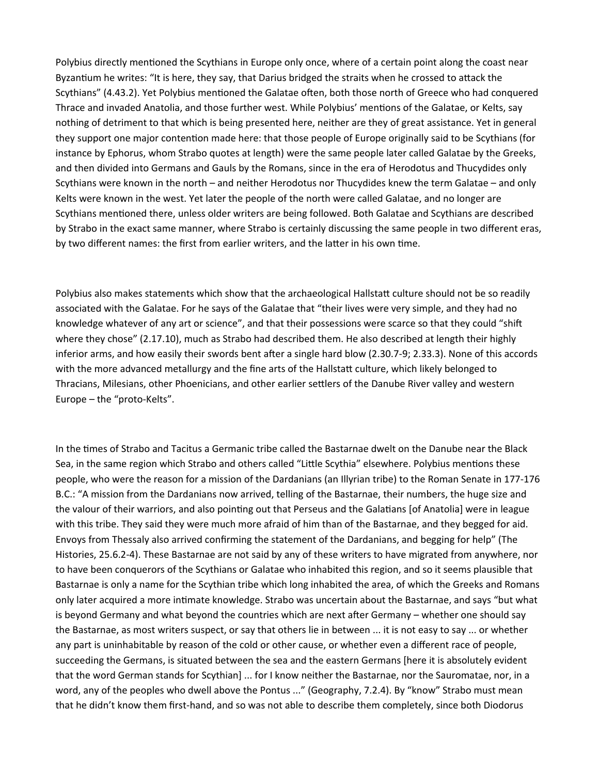Polybius directly mentioned the Scythians in Europe only once, where of a certain point along the coast near Byzantium he writes: "It is here, they say, that Darius bridged the straits when he crossed to attack the Scythians" (4.43.2). Yet Polybius mentioned the Galatae often, both those north of Greece who had conquered Thrace and invaded Anatolia, and those further west. While Polybius' mentions of the Galatae, or Kelts, say nothing of detriment to that which is being presented here, neither are they of great assistance. Yet in general they support one major contention made here: that those people of Europe originally said to be Scythians (for instance by Ephorus, whom Strabo quotes at length) were the same people later called Galatae by the Greeks, and then divided into Germans and Gauls by the Romans, since in the era of Herodotus and Thucydides only Scythians were known in the north – and neither Herodotus nor Thucydides knew the term Galatae – and only Kelts were known in the west. Yet later the people of the north were called Galatae, and no longer are Scythians mentioned there, unless older writers are being followed. Both Galatae and Scythians are described by Strabo in the exact same manner, where Strabo is certainly discussing the same people in two different eras, by two different names: the first from earlier writers, and the latter in his own time.

Polybius also makes statements which show that the archaeological Hallstatt culture should not be so readily associated with the Galatae. For he says of the Galatae that "their lives were very simple, and they had no knowledge whatever of any art or science", and that their possessions were scarce so that they could "shift where they chose" (2.17.10), much as Strabo had described them. He also described at length their highly inferior arms, and how easily their swords bent after a single hard blow (2.30.7-9; 2.33.3). None of this accords with the more advanced metallurgy and the fine arts of the Hallstatt culture, which likely belonged to Thracians, Milesians, other Phoenicians, and other earlier settlers of the Danube River valley and western Europe – the "proto-Kelts".

In the times of Strabo and Tacitus a Germanic tribe called the Bastarnae dwelt on the Danube near the Black Sea, in the same region which Strabo and others called "Little Scythia" elsewhere. Polybius mentions these people, who were the reason for a mission of the Dardanians (an Illyrian tribe) to the Roman Senate in 177-176 B.C.: "A mission from the Dardanians now arrived, telling of the Bastarnae, their numbers, the huge size and the valour of their warriors, and also pointing out that Perseus and the Galatians [of Anatolia] were in league with this tribe. They said they were much more afraid of him than of the Bastarnae, and they begged for aid. Envoys from Thessaly also arrived confirming the statement of the Dardanians, and begging for help" (The Histories, 25.6.2-4). These Bastarnae are not said by any of these writers to have migrated from anywhere, nor to have been conquerors of the Scythians or Galatae who inhabited this region, and so it seems plausible that Bastarnae is only a name for the Scythian tribe which long inhabited the area, of which the Greeks and Romans only later acquired a more intimate knowledge. Strabo was uncertain about the Bastarnae, and says "but what is beyond Germany and what beyond the countries which are next after Germany – whether one should say the Bastarnae, as most writers suspect, or say that others lie in between ... it is not easy to say ... or whether any part is uninhabitable by reason of the cold or other cause, or whether even a different race of people, succeeding the Germans, is situated between the sea and the eastern Germans [here it is absolutely evident that the word German stands for Scythian] ... for I know neither the Bastarnae, nor the Sauromatae, nor, in a word, any of the peoples who dwell above the Pontus ..." (Geography, 7.2.4). By "know" Strabo must mean that he didn't know them first-hand, and so was not able to describe them completely, since both Diodorus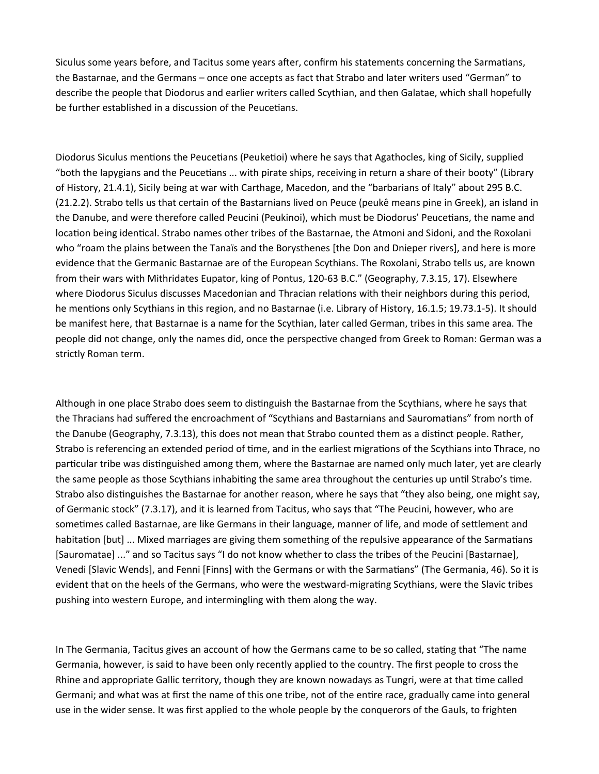Siculus some years before, and Tacitus some years after, confirm his statements concerning the Sarmatians, the Bastarnae, and the Germans – once one accepts as fact that Strabo and later writers used "German" to describe the people that Diodorus and earlier writers called Scythian, and then Galatae, which shall hopefully be further established in a discussion of the Peucetians.

Diodorus Siculus mentions the Peucetians (Peuketioi) where he says that Agathocles, king of Sicily, supplied "both the Iapygians and the Peucetians ... with pirate ships, receiving in return a share of their booty" (Library of History, 21.4.1), Sicily being at war with Carthage, Macedon, and the "barbarians of Italy" about 295 B.C. (21.2.2). Strabo tells us that certain of the Bastarnians lived on Peuce (peukê means pine in Greek), an island in the Danube, and were therefore called Peucini (Peukinoi), which must be Diodorus' Peucetians, the name and location being identical. Strabo names other tribes of the Bastarnae, the Atmoni and Sidoni, and the Roxolani who "roam the plains between the Tanaïs and the Borysthenes [the Don and Dnieper rivers], and here is more evidence that the Germanic Bastarnae are of the European Scythians. The Roxolani, Strabo tells us, are known from their wars with Mithridates Eupator, king of Pontus, 120-63 B.C." (Geography, 7.3.15, 17). Elsewhere where Diodorus Siculus discusses Macedonian and Thracian relations with their neighbors during this period, he mentions only Scythians in this region, and no Bastarnae (i.e. Library of History, 16.1.5; 19.73.1-5). It should be manifest here, that Bastarnae is a name for the Scythian, later called German, tribes in this same area. The people did not change, only the names did, once the perspective changed from Greek to Roman: German was a strictly Roman term.

Although in one place Strabo does seem to distinguish the Bastarnae from the Scythians, where he says that the Thracians had suffered the encroachment of "Scythians and Bastarnians and Sauromatians" from north of the Danube (Geography, 7.3.13), this does not mean that Strabo counted them as a distinct people. Rather, Strabo is referencing an extended period of time, and in the earliest migrations of the Scythians into Thrace, no particular tribe was distinguished among them, where the Bastarnae are named only much later, yet are clearly the same people as those Scythians inhabiting the same area throughout the centuries up until Strabo's time. Strabo also distinguishes the Bastarnae for another reason, where he says that "they also being, one might say, of Germanic stock" (7.3.17), and it is learned from Tacitus, who says that "The Peucini, however, who are sometimes called Bastarnae, are like Germans in their language, manner of life, and mode of settlement and habitation [but] ... Mixed marriages are giving them something of the repulsive appearance of the Sarmatians [Sauromatae] ..." and so Tacitus says "I do not know whether to class the tribes of the Peucini [Bastarnae], Venedi [Slavic Wends], and Fenni [Finns] with the Germans or with the Sarmatians" (The Germania, 46). So it is evident that on the heels of the Germans, who were the westward-migrating Scythians, were the Slavic tribes pushing into western Europe, and intermingling with them along the way.

In The Germania, Tacitus gives an account of how the Germans came to be so called, stating that "The name Germania, however, is said to have been only recently applied to the country. The first people to cross the Rhine and appropriate Gallic territory, though they are known nowadays as Tungri, were at that time called Germani; and what was at first the name of this one tribe, not of the entire race, gradually came into general use in the wider sense. It was first applied to the whole people by the conquerors of the Gauls, to frighten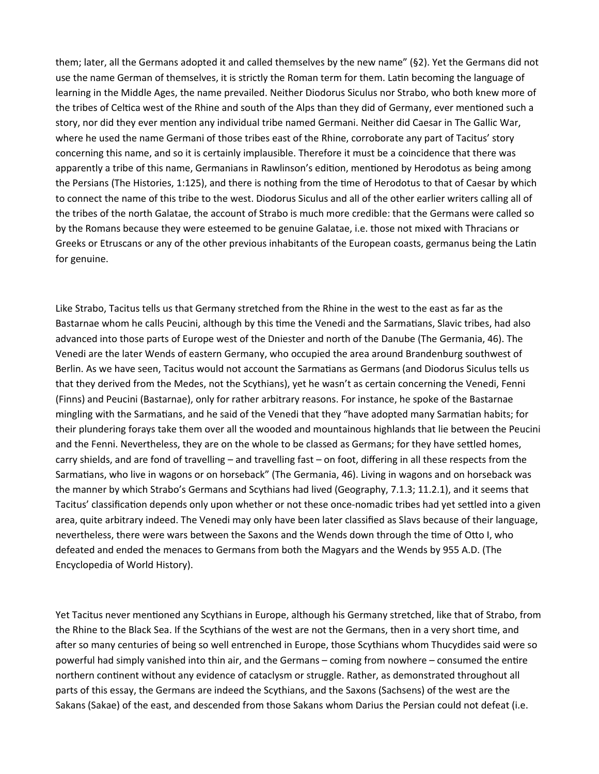them; later, all the Germans adopted it and called themselves by the new name" (§2). Yet the Germans did not use the name German of themselves, it is strictly the Roman term for them. Latin becoming the language of learning in the Middle Ages, the name prevailed. Neither Diodorus Siculus nor Strabo, who both knew more of the tribes of Celtica west of the Rhine and south of the Alps than they did of Germany, ever mentioned such a story, nor did they ever mention any individual tribe named Germani. Neither did Caesar in The Gallic War, where he used the name Germani of those tribes east of the Rhine, corroborate any part of Tacitus' story concerning this name, and so it is certainly implausible. Therefore it must be a coincidence that there was apparently a tribe of this name, Germanians in Rawlinson's edition, mentioned by Herodotus as being among the Persians (The Histories, 1:125), and there is nothing from the time of Herodotus to that of Caesar by which to connect the name of this tribe to the west. Diodorus Siculus and all of the other earlier writers calling all of the tribes of the north Galatae, the account of Strabo is much more credible: that the Germans were called so by the Romans because they were esteemed to be genuine Galatae, i.e. those not mixed with Thracians or Greeks or Etruscans or any of the other previous inhabitants of the European coasts, germanus being the Latin for genuine.

Like Strabo, Tacitus tells us that Germany stretched from the Rhine in the west to the east as far as the Bastarnae whom he calls Peucini, although by this time the Venedi and the Sarmatians, Slavic tribes, had also advanced into those parts of Europe west of the Dniester and north of the Danube (The Germania, 46). The Venedi are the later Wends of eastern Germany, who occupied the area around Brandenburg southwest of Berlin. As we have seen, Tacitus would not account the Sarmatians as Germans (and Diodorus Siculus tells us that they derived from the Medes, not the Scythians), yet he wasn't as certain concerning the Venedi, Fenni (Finns) and Peucini (Bastarnae), only for rather arbitrary reasons. For instance, he spoke of the Bastarnae mingling with the Sarmatians, and he said of the Venedi that they "have adopted many Sarmatian habits; for their plundering forays take them over all the wooded and mountainous highlands that lie between the Peucini and the Fenni. Nevertheless, they are on the whole to be classed as Germans; for they have settled homes, carry shields, and are fond of travelling – and travelling fast – on foot, differing in all these respects from the Sarmatians, who live in wagons or on horseback" (The Germania, 46). Living in wagons and on horseback was the manner by which Strabo's Germans and Scythians had lived (Geography, 7.1.3; 11.2.1), and it seems that Tacitus' classification depends only upon whether or not these once-nomadic tribes had yet settled into a given area, quite arbitrary indeed. The Venedi may only have been later classified as Slavs because of their language, nevertheless, there were wars between the Saxons and the Wends down through the time of Otto I, who defeated and ended the menaces to Germans from both the Magyars and the Wends by 955 A.D. (The Encyclopedia of World History).

Yet Tacitus never mentioned any Scythians in Europe, although his Germany stretched, like that of Strabo, from the Rhine to the Black Sea. If the Scythians of the west are not the Germans, then in a very short time, and after so many centuries of being so well entrenched in Europe, those Scythians whom Thucydides said were so powerful had simply vanished into thin air, and the Germans – coming from nowhere – consumed the entire northern continent without any evidence of cataclysm or struggle. Rather, as demonstrated throughout all parts of this essay, the Germans are indeed the Scythians, and the Saxons (Sachsens) of the west are the Sakans (Sakae) of the east, and descended from those Sakans whom Darius the Persian could not defeat (i.e.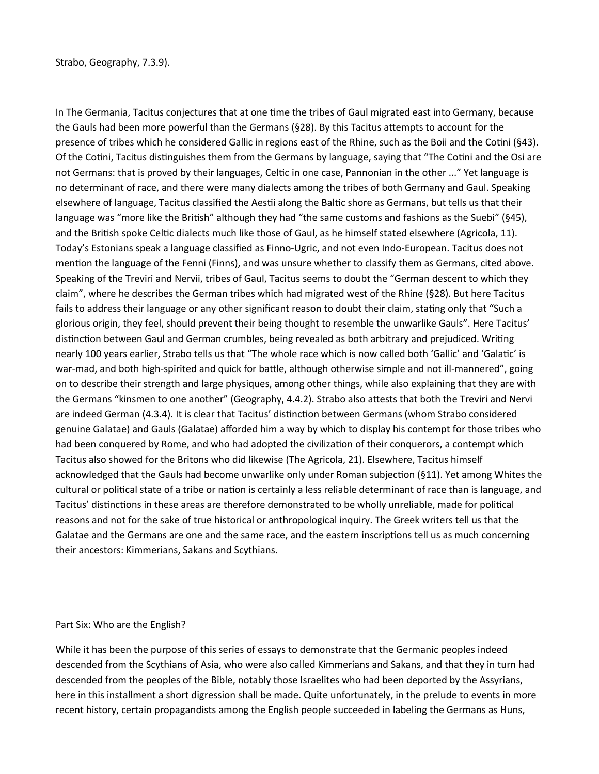In The Germania, Tacitus conjectures that at one time the tribes of Gaul migrated east into Germany, because the Gauls had been more powerful than the Germans (§28). By this Tacitus attempts to account for the presence of tribes which he considered Gallic in regions east of the Rhine, such as the Boii and the Cotini (§43). Of the Cotini, Tacitus distinguishes them from the Germans by language, saying that "The Cotini and the Osi are not Germans: that is proved by their languages, Celtic in one case, Pannonian in the other ..." Yet language is no determinant of race, and there were many dialects among the tribes of both Germany and Gaul. Speaking elsewhere of language, Tacitus classified the Aestii along the Baltic shore as Germans, but tells us that their language was "more like the British" although they had "the same customs and fashions as the Suebi" (§45), and the British spoke Celtic dialects much like those of Gaul, as he himself stated elsewhere (Agricola, 11). Today's Estonians speak a language classified as Finno-Ugric, and not even Indo-European. Tacitus does not mention the language of the Fenni (Finns), and was unsure whether to classify them as Germans, cited above. Speaking of the Treviri and Nervii, tribes of Gaul, Tacitus seems to doubt the "German descent to which they claim", where he describes the German tribes which had migrated west of the Rhine (§28). But here Tacitus fails to address their language or any other significant reason to doubt their claim, stating only that "Such a glorious origin, they feel, should prevent their being thought to resemble the unwarlike Gauls". Here Tacitus' distinction between Gaul and German crumbles, being revealed as both arbitrary and prejudiced. Writing nearly 100 years earlier, Strabo tells us that "The whole race which is now called both 'Gallic' and 'Galatic' is war-mad, and both high-spirited and quick for battle, although otherwise simple and not ill-mannered", going on to describe their strength and large physiques, among other things, while also explaining that they are with the Germans "kinsmen to one another" (Geography, 4.4.2). Strabo also attests that both the Treviri and Nervi are indeed German (4.3.4). It is clear that Tacitus' distinction between Germans (whom Strabo considered genuine Galatae) and Gauls (Galatae) afforded him a way by which to display his contempt for those tribes who had been conquered by Rome, and who had adopted the civilization of their conquerors, a contempt which Tacitus also showed for the Britons who did likewise (The Agricola, 21). Elsewhere, Tacitus himself acknowledged that the Gauls had become unwarlike only under Roman subjection (§11). Yet among Whites the cultural or political state of a tribe or nation is certainly a less reliable determinant of race than is language, and Tacitus' distinctions in these areas are therefore demonstrated to be wholly unreliable, made for political reasons and not for the sake of true historical or anthropological inquiry. The Greek writers tell us that the Galatae and the Germans are one and the same race, and the eastern inscriptions tell us as much concerning their ancestors: Kimmerians, Sakans and Scythians.

#### Part Six: Who are the English?

While it has been the purpose of this series of essays to demonstrate that the Germanic peoples indeed descended from the Scythians of Asia, who were also called Kimmerians and Sakans, and that they in turn had descended from the peoples of the Bible, notably those Israelites who had been deported by the Assyrians, here in this installment a short digression shall be made. Quite unfortunately, in the prelude to events in more recent history, certain propagandists among the English people succeeded in labeling the Germans as Huns,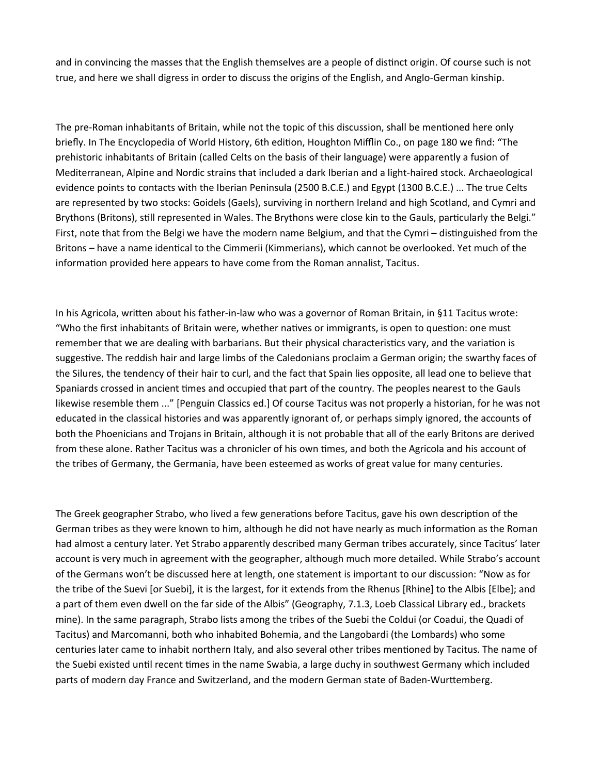and in convincing the masses that the English themselves are a people of distinct origin. Of course such is not true, and here we shall digress in order to discuss the origins of the English, and Anglo-German kinship.

The pre-Roman inhabitants of Britain, while not the topic of this discussion, shall be mentioned here only briefly. In The Encyclopedia of World History, 6th edition, Houghton Mifflin Co., on page 180 we find: "The prehistoric inhabitants of Britain (called Celts on the basis of their language) were apparently a fusion of Mediterranean, Alpine and Nordic strains that included a dark Iberian and a light-haired stock. Archaeological evidence points to contacts with the Iberian Peninsula (2500 B.C.E.) and Egypt (1300 B.C.E.) ... The true Celts are represented by two stocks: Goidels (Gaels), surviving in northern Ireland and high Scotland, and Cymri and Brythons (Britons), still represented in Wales. The Brythons were close kin to the Gauls, particularly the Belgi." First, note that from the Belgi we have the modern name Belgium, and that the Cymri – distinguished from the Britons – have a name identical to the Cimmerii (Kimmerians), which cannot be overlooked. Yet much of the information provided here appears to have come from the Roman annalist, Tacitus.

In his Agricola, written about his father-in-law who was a governor of Roman Britain, in §11 Tacitus wrote: "Who the first inhabitants of Britain were, whether natives or immigrants, is open to question: one must remember that we are dealing with barbarians. But their physical characteristics vary, and the variation is suggestive. The reddish hair and large limbs of the Caledonians proclaim a German origin; the swarthy faces of the Silures, the tendency of their hair to curl, and the fact that Spain lies opposite, all lead one to believe that Spaniards crossed in ancient times and occupied that part of the country. The peoples nearest to the Gauls likewise resemble them ..." [Penguin Classics ed.] Of course Tacitus was not properly a historian, for he was not educated in the classical histories and was apparently ignorant of, or perhaps simply ignored, the accounts of both the Phoenicians and Trojans in Britain, although it is not probable that all of the early Britons are derived from these alone. Rather Tacitus was a chronicler of his own times, and both the Agricola and his account of the tribes of Germany, the Germania, have been esteemed as works of great value for many centuries.

The Greek geographer Strabo, who lived a few generations before Tacitus, gave his own description of the German tribes as they were known to him, although he did not have nearly as much information as the Roman had almost a century later. Yet Strabo apparently described many German tribes accurately, since Tacitus' later account is very much in agreement with the geographer, although much more detailed. While Strabo's account of the Germans won't be discussed here at length, one statement is important to our discussion: "Now as for the tribe of the Suevi [or Suebi], it is the largest, for it extends from the Rhenus [Rhine] to the Albis [Elbe]; and a part of them even dwell on the far side of the Albis" (Geography, 7.1.3, Loeb Classical Library ed., brackets mine). In the same paragraph, Strabo lists among the tribes of the Suebi the Coldui (or Coadui, the Quadi of Tacitus) and Marcomanni, both who inhabited Bohemia, and the Langobardi (the Lombards) who some centuries later came to inhabit northern Italy, and also several other tribes mentioned by Tacitus. The name of the Suebi existed until recent times in the name Swabia, a large duchy in southwest Germany which included parts of modern day France and Switzerland, and the modern German state of Baden-Wurttemberg.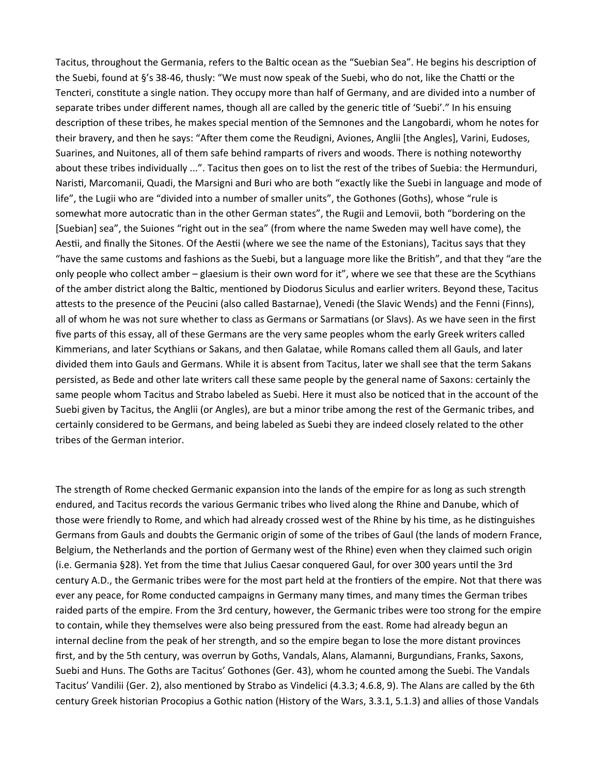Tacitus, throughout the Germania, refers to the Baltic ocean as the "Suebian Sea". He begins his description of the Suebi, found at §'s 38-46, thusly: "We must now speak of the Suebi, who do not, like the Chatti or the Tencteri, constitute a single nation. They occupy more than half of Germany, and are divided into a number of separate tribes under different names, though all are called by the generic title of 'Suebi'." In his ensuing description of these tribes, he makes special mention of the Semnones and the Langobardi, whom he notes for their bravery, and then he says: "After them come the Reudigni, Aviones, Anglii [the Angles], Varini, Eudoses, Suarines, and Nuitones, all of them safe behind ramparts of rivers and woods. There is nothing noteworthy about these tribes individually ...". Tacitus then goes on to list the rest of the tribes of Suebia: the Hermunduri, Naristi, Marcomanii, Quadi, the Marsigni and Buri who are both "exactly like the Suebi in language and mode of life", the Lugii who are "divided into a number of smaller units", the Gothones (Goths), whose "rule is somewhat more autocratic than in the other German states", the Rugii and Lemovii, both "bordering on the [Suebian] sea", the Suiones "right out in the sea" (from where the name Sweden may well have come), the Aestii, and finally the Sitones. Of the Aestii (where we see the name of the Estonians), Tacitus says that they "have the same customs and fashions as the Suebi, but a language more like the British", and that they "are the only people who collect amber – glaesium is their own word for it", where we see that these are the Scythians of the amber district along the Baltic, mentioned by Diodorus Siculus and earlier writers. Beyond these, Tacitus attests to the presence of the Peucini (also called Bastarnae), Venedi (the Slavic Wends) and the Fenni (Finns), all of whom he was not sure whether to class as Germans or Sarmatians (or Slavs). As we have seen in the first five parts of this essay, all of these Germans are the very same peoples whom the early Greek writers called Kimmerians, and later Scythians or Sakans, and then Galatae, while Romans called them all Gauls, and later divided them into Gauls and Germans. While it is absent from Tacitus, later we shall see that the term Sakans persisted, as Bede and other late writers call these same people by the general name of Saxons: certainly the same people whom Tacitus and Strabo labeled as Suebi. Here it must also be noticed that in the account of the Suebi given by Tacitus, the Anglii (or Angles), are but a minor tribe among the rest of the Germanic tribes, and certainly considered to be Germans, and being labeled as Suebi they are indeed closely related to the other tribes of the German interior.

The strength of Rome checked Germanic expansion into the lands of the empire for as long as such strength endured, and Tacitus records the various Germanic tribes who lived along the Rhine and Danube, which of those were friendly to Rome, and which had already crossed west of the Rhine by his time, as he distinguishes Germans from Gauls and doubts the Germanic origin of some of the tribes of Gaul (the lands of modern France, Belgium, the Netherlands and the portion of Germany west of the Rhine) even when they claimed such origin (i.e. Germania §28). Yet from the time that Julius Caesar conquered Gaul, for over 300 years until the 3rd century A.D., the Germanic tribes were for the most part held at the frontiers of the empire. Not that there was ever any peace, for Rome conducted campaigns in Germany many times, and many times the German tribes raided parts of the empire. From the 3rd century, however, the Germanic tribes were too strong for the empire to contain, while they themselves were also being pressured from the east. Rome had already begun an internal decline from the peak of her strength, and so the empire began to lose the more distant provinces first, and by the 5th century, was overrun by Goths, Vandals, Alans, Alamanni, Burgundians, Franks, Saxons, Suebi and Huns. The Goths are Tacitus' Gothones (Ger. 43), whom he counted among the Suebi. The Vandals Tacitus' Vandilii (Ger. 2), also mentioned by Strabo as Vindelici (4.3.3; 4.6.8, 9). The Alans are called by the 6th century Greek historian Procopius a Gothic nation (History of the Wars, 3.3.1, 5.1.3) and allies of those Vandals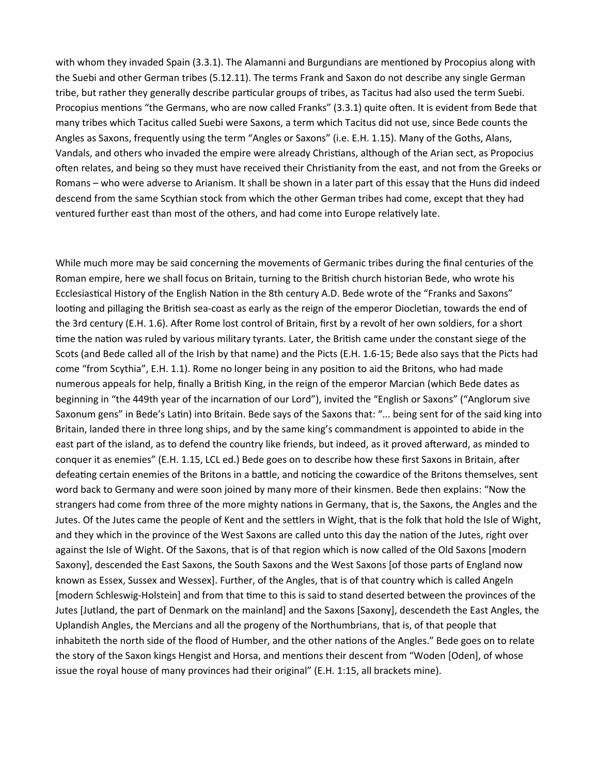with whom they invaded Spain (3.3.1). The Alamanni and Burgundians are mentioned by Procopius along with the Suebi and other German tribes (5.12.11). The terms Frank and Saxon do not describe any single German tribe, but rather they generally describe particular groups of tribes, as Tacitus had also used the term Suebi. Procopius mentions "the Germans, who are now called Franks" (3.3.1) quite often. It is evident from Bede that many tribes which Tacitus called Suebi were Saxons, a term which Tacitus did not use, since Bede counts the Angles as Saxons, frequently using the term "Angles or Saxons" (i.e. E.H. 1.15). Many of the Goths, Alans, Vandals, and others who invaded the empire were already Christians, although of the Arian sect, as Propocius often relates, and being so they must have received their Christianity from the east, and not from the Greeks or Romans – who were adverse to Arianism. It shall be shown in a later part of this essay that the Huns did indeed descend from the same Scythian stock from which the other German tribes had come, except that they had ventured further east than most of the others, and had come into Europe relatively late.

While much more may be said concerning the movements of Germanic tribes during the final centuries of the Roman empire, here we shall focus on Britain, turning to the British church historian Bede, who wrote his Ecclesiastical History of the English Nation in the 8th century A.D. Bede wrote of the "Franks and Saxons" looting and pillaging the British sea-coast as early as the reign of the emperor Diocletian, towards the end of the 3rd century (E.H. 1.6). After Rome lost control of Britain, first by a revolt of her own soldiers, for a short time the nation was ruled by various military tyrants. Later, the British came under the constant siege of the Scots (and Bede called all of the Irish by that name) and the Picts (E.H. 1.6-15; Bede also says that the Picts had come "from Scythia", E.H. 1.1). Rome no longer being in any position to aid the Britons, who had made numerous appeals for help, finally a British King, in the reign of the emperor Marcian (which Bede dates as beginning in "the 449th year of the incarnation of our Lord"), invited the "English or Saxons" ("Anglorum sive Saxonum gens" in Bede's Latin) into Britain. Bede says of the Saxons that: "... being sent for of the said king into Britain, landed there in three long ships, and by the same king's commandment is appointed to abide in the east part of the island, as to defend the country like friends, but indeed, as it proved afterward, as minded to conquer it as enemies" (E.H. 1.15, LCL ed.) Bede goes on to describe how these first Saxons in Britain, after defeating certain enemies of the Britons in a battle, and noticing the cowardice of the Britons themselves, sent word back to Germany and were soon joined by many more of their kinsmen. Bede then explains: "Now the strangers had come from three of the more mighty nations in Germany, that is, the Saxons, the Angles and the Jutes. Of the Jutes came the people of Kent and the settlers in Wight, that is the folk that hold the Isle of Wight, and they which in the province of the West Saxons are called unto this day the nation of the Jutes, right over against the Isle of Wight. Of the Saxons, that is of that region which is now called of the Old Saxons [modern Saxony], descended the East Saxons, the South Saxons and the West Saxons [of those parts of England now known as Essex, Sussex and Wessex]. Further, of the Angles, that is of that country which is called Angeln [modern Schleswig-Holstein] and from that time to this is said to stand deserted between the provinces of the Jutes [Jutland, the part of Denmark on the mainland] and the Saxons [Saxony], descendeth the East Angles, the Uplandish Angles, the Mercians and all the progeny of the Northumbrians, that is, of that people that inhabiteth the north side of the flood of Humber, and the other nations of the Angles." Bede goes on to relate the story of the Saxon kings Hengist and Horsa, and mentions their descent from "Woden [Oden], of whose issue the royal house of many provinces had their original" (E.H. 1:15, all brackets mine).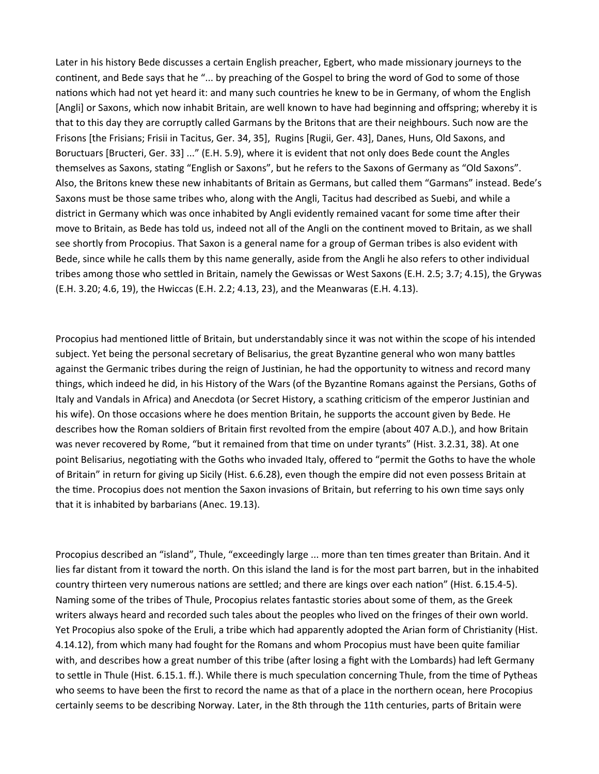Later in his history Bede discusses a certain English preacher, Egbert, who made missionary journeys to the continent, and Bede says that he "... by preaching of the Gospel to bring the word of God to some of those nations which had not yet heard it: and many such countries he knew to be in Germany, of whom the English [Angli] or Saxons, which now inhabit Britain, are well known to have had beginning and offspring; whereby it is that to this day they are corruptly called Garmans by the Britons that are their neighbours. Such now are the Frisons [the Frisians; Frisii in Tacitus, Ger. 34, 35], Rugins [Rugii, Ger. 43], Danes, Huns, Old Saxons, and Boructuars [Bructeri, Ger. 33] ..." (E.H. 5.9), where it is evident that not only does Bede count the Angles themselves as Saxons, stating "English or Saxons", but he refers to the Saxons of Germany as "Old Saxons". Also, the Britons knew these new inhabitants of Britain as Germans, but called them "Garmans" instead. Bede's Saxons must be those same tribes who, along with the Angli, Tacitus had described as Suebi, and while a district in Germany which was once inhabited by Angli evidently remained vacant for some time after their move to Britain, as Bede has told us, indeed not all of the Angli on the continent moved to Britain, as we shall see shortly from Procopius. That Saxon is a general name for a group of German tribes is also evident with Bede, since while he calls them by this name generally, aside from the Angli he also refers to other individual tribes among those who settled in Britain, namely the Gewissas or West Saxons (E.H. 2.5; 3.7; 4.15), the Grywas (E.H. 3.20; 4.6, 19), the Hwiccas (E.H. 2.2; 4.13, 23), and the Meanwaras (E.H. 4.13).

Procopius had mentioned little of Britain, but understandably since it was not within the scope of his intended subject. Yet being the personal secretary of Belisarius, the great Byzantine general who won many battles against the Germanic tribes during the reign of Justinian, he had the opportunity to witness and record many things, which indeed he did, in his History of the Wars (of the Byzantine Romans against the Persians, Goths of Italy and Vandals in Africa) and Anecdota (or Secret History, a scathing criticism of the emperor Justinian and his wife). On those occasions where he does mention Britain, he supports the account given by Bede. He describes how the Roman soldiers of Britain first revolted from the empire (about 407 A.D.), and how Britain was never recovered by Rome, "but it remained from that time on under tyrants" (Hist. 3.2.31, 38). At one point Belisarius, negotiating with the Goths who invaded Italy, offered to "permit the Goths to have the whole of Britain" in return for giving up Sicily (Hist. 6.6.28), even though the empire did not even possess Britain at the time. Procopius does not mention the Saxon invasions of Britain, but referring to his own time says only that it is inhabited by barbarians (Anec. 19.13).

Procopius described an "island", Thule, "exceedingly large ... more than ten times greater than Britain. And it lies far distant from it toward the north. On this island the land is for the most part barren, but in the inhabited country thirteen very numerous nations are settled; and there are kings over each nation" (Hist. 6.15.4-5). Naming some of the tribes of Thule, Procopius relates fantastic stories about some of them, as the Greek writers always heard and recorded such tales about the peoples who lived on the fringes of their own world. Yet Procopius also spoke of the Eruli, a tribe which had apparently adopted the Arian form of Christianity (Hist. 4.14.12), from which many had fought for the Romans and whom Procopius must have been quite familiar with, and describes how a great number of this tribe (after losing a fight with the Lombards) had left Germany to settle in Thule (Hist. 6.15.1. ff.). While there is much speculation concerning Thule, from the time of Pytheas who seems to have been the first to record the name as that of a place in the northern ocean, here Procopius certainly seems to be describing Norway. Later, in the 8th through the 11th centuries, parts of Britain were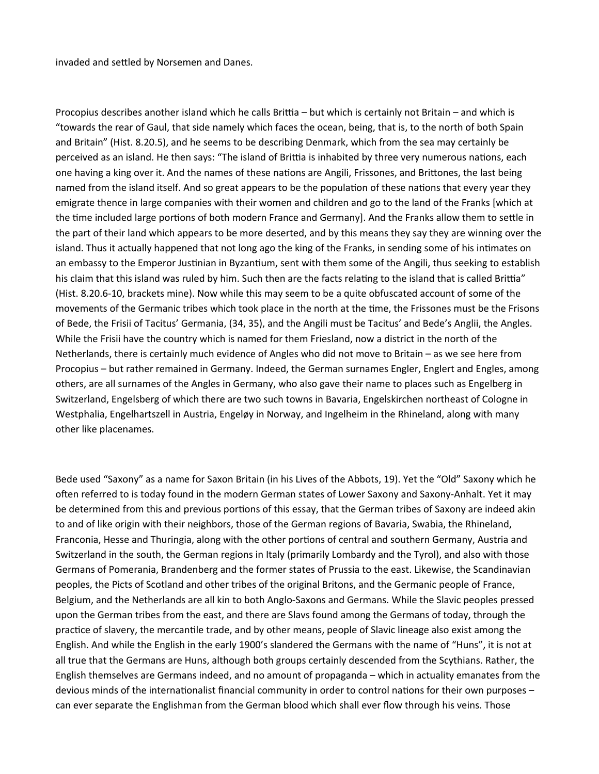invaded and settled by Norsemen and Danes.

Procopius describes another island which he calls Brittia – but which is certainly not Britain – and which is "towards the rear of Gaul, that side namely which faces the ocean, being, that is, to the north of both Spain and Britain" (Hist. 8.20.5), and he seems to be describing Denmark, which from the sea may certainly be perceived as an island. He then says: "The island of Brittia is inhabited by three very numerous nations, each one having a king over it. And the names of these nations are Angili, Frissones, and Brittones, the last being named from the island itself. And so great appears to be the population of these nations that every year they emigrate thence in large companies with their women and children and go to the land of the Franks [which at the time included large portions of both modern France and Germany]. And the Franks allow them to settle in the part of their land which appears to be more deserted, and by this means they say they are winning over the island. Thus it actually happened that not long ago the king of the Franks, in sending some of his intimates on an embassy to the Emperor Justinian in Byzantium, sent with them some of the Angili, thus seeking to establish his claim that this island was ruled by him. Such then are the facts relating to the island that is called Brittia" (Hist. 8.20.6-10, brackets mine). Now while this may seem to be a quite obfuscated account of some of the movements of the Germanic tribes which took place in the north at the time, the Frissones must be the Frisons of Bede, the Frisii of Tacitus' Germania, (34, 35), and the Angili must be Tacitus' and Bede's Anglii, the Angles. While the Frisii have the country which is named for them Friesland, now a district in the north of the Netherlands, there is certainly much evidence of Angles who did not move to Britain – as we see here from Procopius – but rather remained in Germany. Indeed, the German surnames Engler, Englert and Engles, among others, are all surnames of the Angles in Germany, who also gave their name to places such as Engelberg in Switzerland, Engelsberg of which there are two such towns in Bavaria, Engelskirchen northeast of Cologne in Westphalia, Engelhartszell in Austria, Engeløy in Norway, and Ingelheim in the Rhineland, along with many other like placenames.

Bede used "Saxony" as a name for Saxon Britain (in his Lives of the Abbots, 19). Yet the "Old" Saxony which he often referred to is today found in the modern German states of Lower Saxony and Saxony-Anhalt. Yet it may be determined from this and previous portions of this essay, that the German tribes of Saxony are indeed akin to and of like origin with their neighbors, those of the German regions of Bavaria, Swabia, the Rhineland, Franconia, Hesse and Thuringia, along with the other portions of central and southern Germany, Austria and Switzerland in the south, the German regions in Italy (primarily Lombardy and the Tyrol), and also with those Germans of Pomerania, Brandenberg and the former states of Prussia to the east. Likewise, the Scandinavian peoples, the Picts of Scotland and other tribes of the original Britons, and the Germanic people of France, Belgium, and the Netherlands are all kin to both Anglo-Saxons and Germans. While the Slavic peoples pressed upon the German tribes from the east, and there are Slavs found among the Germans of today, through the practice of slavery, the mercantile trade, and by other means, people of Slavic lineage also exist among the English. And while the English in the early 1900's slandered the Germans with the name of "Huns", it is not at all true that the Germans are Huns, although both groups certainly descended from the Scythians. Rather, the English themselves are Germans indeed, and no amount of propaganda – which in actuality emanates from the devious minds of the internationalist financial community in order to control nations for their own purposes – can ever separate the Englishman from the German blood which shall ever flow through his veins. Those